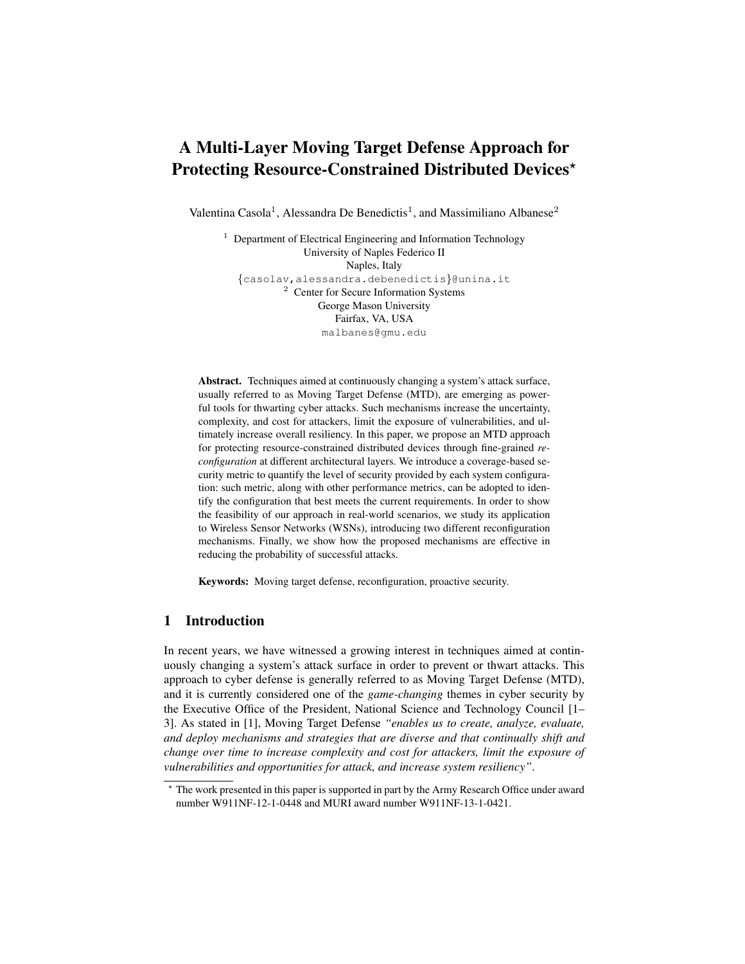# A Multi-Layer Moving Target Defense Approach for Protecting Resource-Constrained Distributed Devices<sup>\*</sup>

Valentina Casola<sup>1</sup>, Alessandra De Benedictis<sup>1</sup>, and Massimiliano Albanese<sup>2</sup>

<sup>1</sup> Department of Electrical Engineering and Information Technology University of Naples Federico II Naples, Italy {casolav,alessandra.debenedictis}@unina.it <sup>2</sup> Center for Secure Information Systems George Mason University Fairfax, VA, USA malbanes@gmu.edu

Abstract. Techniques aimed at continuously changing a system's attack surface, usually referred to as Moving Target Defense (MTD), are emerging as powerful tools for thwarting cyber attacks. Such mechanisms increase the uncertainty, complexity, and cost for attackers, limit the exposure of vulnerabilities, and ultimately increase overall resiliency. In this paper, we propose an MTD approach for protecting resource-constrained distributed devices through fine-grained *reconfiguration* at different architectural layers. We introduce a coverage-based security metric to quantify the level of security provided by each system configuration: such metric, along with other performance metrics, can be adopted to identify the configuration that best meets the current requirements. In order to show the feasibility of our approach in real-world scenarios, we study its application to Wireless Sensor Networks (WSNs), introducing two different reconfiguration mechanisms. Finally, we show how the proposed mechanisms are effective in reducing the probability of successful attacks.

Keywords: Moving target defense, reconfiguration, proactive security.

## 1 Introduction

In recent years, we have witnessed a growing interest in techniques aimed at continuously changing a system's attack surface in order to prevent or thwart attacks. This approach to cyber defense is generally referred to as Moving Target Defense (MTD), and it is currently considered one of the *game-changing* themes in cyber security by the Executive Office of the President, National Science and Technology Council [1– 3]. As stated in [1], Moving Target Defense *"enables us to create, analyze, evaluate, and deploy mechanisms and strategies that are diverse and that continually shift and change over time to increase complexity and cost for attackers, limit the exposure of vulnerabilities and opportunities for attack, and increase system resiliency"*.

<sup>?</sup> The work presented in this paper is supported in part by the Army Research Office under award number W911NF-12-1-0448 and MURI award number W911NF-13-1-0421.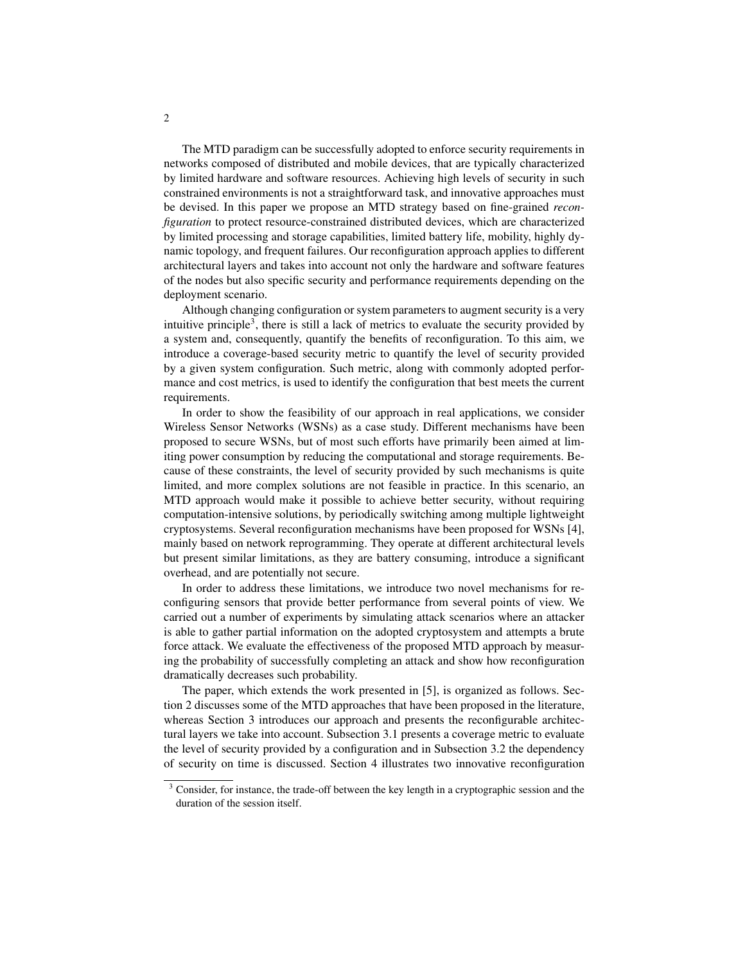The MTD paradigm can be successfully adopted to enforce security requirements in networks composed of distributed and mobile devices, that are typically characterized by limited hardware and software resources. Achieving high levels of security in such constrained environments is not a straightforward task, and innovative approaches must be devised. In this paper we propose an MTD strategy based on fine-grained *reconfiguration* to protect resource-constrained distributed devices, which are characterized by limited processing and storage capabilities, limited battery life, mobility, highly dynamic topology, and frequent failures. Our reconfiguration approach applies to different architectural layers and takes into account not only the hardware and software features of the nodes but also specific security and performance requirements depending on the deployment scenario.

Although changing configuration or system parameters to augment security is a very intuitive principle<sup>3</sup>, there is still a lack of metrics to evaluate the security provided by a system and, consequently, quantify the benefits of reconfiguration. To this aim, we introduce a coverage-based security metric to quantify the level of security provided by a given system configuration. Such metric, along with commonly adopted performance and cost metrics, is used to identify the configuration that best meets the current requirements.

In order to show the feasibility of our approach in real applications, we consider Wireless Sensor Networks (WSNs) as a case study. Different mechanisms have been proposed to secure WSNs, but of most such efforts have primarily been aimed at limiting power consumption by reducing the computational and storage requirements. Because of these constraints, the level of security provided by such mechanisms is quite limited, and more complex solutions are not feasible in practice. In this scenario, an MTD approach would make it possible to achieve better security, without requiring computation-intensive solutions, by periodically switching among multiple lightweight cryptosystems. Several reconfiguration mechanisms have been proposed for WSNs [4], mainly based on network reprogramming. They operate at different architectural levels but present similar limitations, as they are battery consuming, introduce a significant overhead, and are potentially not secure.

In order to address these limitations, we introduce two novel mechanisms for reconfiguring sensors that provide better performance from several points of view. We carried out a number of experiments by simulating attack scenarios where an attacker is able to gather partial information on the adopted cryptosystem and attempts a brute force attack. We evaluate the effectiveness of the proposed MTD approach by measuring the probability of successfully completing an attack and show how reconfiguration dramatically decreases such probability.

The paper, which extends the work presented in [5], is organized as follows. Section 2 discusses some of the MTD approaches that have been proposed in the literature, whereas Section 3 introduces our approach and presents the reconfigurable architectural layers we take into account. Subsection 3.1 presents a coverage metric to evaluate the level of security provided by a configuration and in Subsection 3.2 the dependency of security on time is discussed. Section 4 illustrates two innovative reconfiguration

<sup>&</sup>lt;sup>3</sup> Consider, for instance, the trade-off between the key length in a cryptographic session and the duration of the session itself.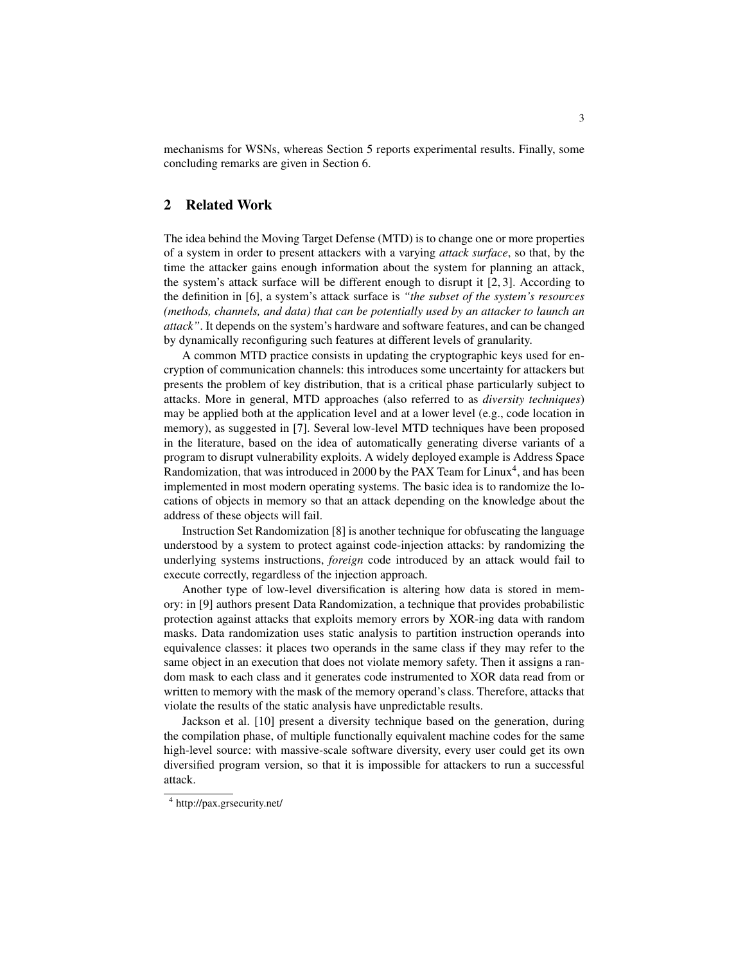mechanisms for WSNs, whereas Section 5 reports experimental results. Finally, some concluding remarks are given in Section 6.

### 2 Related Work

The idea behind the Moving Target Defense (MTD) is to change one or more properties of a system in order to present attackers with a varying *attack surface*, so that, by the time the attacker gains enough information about the system for planning an attack, the system's attack surface will be different enough to disrupt it  $[2, 3]$ . According to the definition in [6], a system's attack surface is *"the subset of the system's resources (methods, channels, and data) that can be potentially used by an attacker to launch an attack"*. It depends on the system's hardware and software features, and can be changed by dynamically reconfiguring such features at different levels of granularity.

A common MTD practice consists in updating the cryptographic keys used for encryption of communication channels: this introduces some uncertainty for attackers but presents the problem of key distribution, that is a critical phase particularly subject to attacks. More in general, MTD approaches (also referred to as *diversity techniques*) may be applied both at the application level and at a lower level (e.g., code location in memory), as suggested in [7]. Several low-level MTD techniques have been proposed in the literature, based on the idea of automatically generating diverse variants of a program to disrupt vulnerability exploits. A widely deployed example is Address Space Randomization, that was introduced in 2000 by the PAX Team for Linux<sup>4</sup>, and has been implemented in most modern operating systems. The basic idea is to randomize the locations of objects in memory so that an attack depending on the knowledge about the address of these objects will fail.

Instruction Set Randomization [8] is another technique for obfuscating the language understood by a system to protect against code-injection attacks: by randomizing the underlying systems instructions, *foreign* code introduced by an attack would fail to execute correctly, regardless of the injection approach.

Another type of low-level diversification is altering how data is stored in memory: in [9] authors present Data Randomization, a technique that provides probabilistic protection against attacks that exploits memory errors by XOR-ing data with random masks. Data randomization uses static analysis to partition instruction operands into equivalence classes: it places two operands in the same class if they may refer to the same object in an execution that does not violate memory safety. Then it assigns a random mask to each class and it generates code instrumented to XOR data read from or written to memory with the mask of the memory operand's class. Therefore, attacks that violate the results of the static analysis have unpredictable results.

Jackson et al. [10] present a diversity technique based on the generation, during the compilation phase, of multiple functionally equivalent machine codes for the same high-level source: with massive-scale software diversity, every user could get its own diversified program version, so that it is impossible for attackers to run a successful attack.

<sup>4</sup> http://pax.grsecurity.net/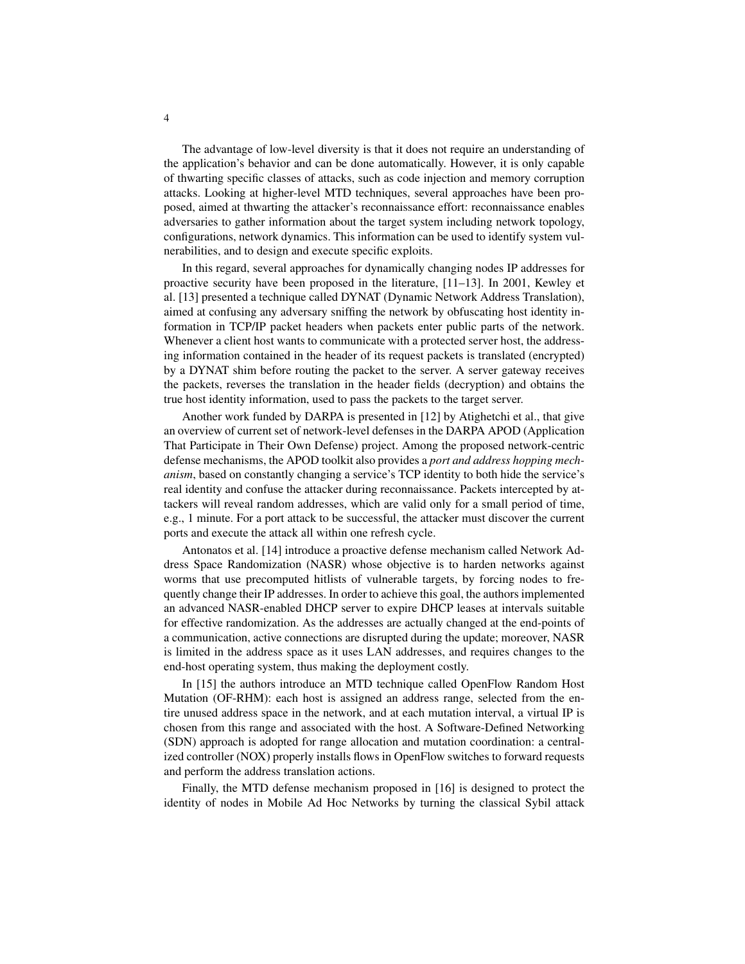The advantage of low-level diversity is that it does not require an understanding of the application's behavior and can be done automatically. However, it is only capable of thwarting specific classes of attacks, such as code injection and memory corruption attacks. Looking at higher-level MTD techniques, several approaches have been proposed, aimed at thwarting the attacker's reconnaissance effort: reconnaissance enables adversaries to gather information about the target system including network topology, configurations, network dynamics. This information can be used to identify system vulnerabilities, and to design and execute specific exploits.

In this regard, several approaches for dynamically changing nodes IP addresses for proactive security have been proposed in the literature, [11–13]. In 2001, Kewley et al. [13] presented a technique called DYNAT (Dynamic Network Address Translation), aimed at confusing any adversary sniffing the network by obfuscating host identity information in TCP/IP packet headers when packets enter public parts of the network. Whenever a client host wants to communicate with a protected server host, the addressing information contained in the header of its request packets is translated (encrypted) by a DYNAT shim before routing the packet to the server. A server gateway receives the packets, reverses the translation in the header fields (decryption) and obtains the true host identity information, used to pass the packets to the target server.

Another work funded by DARPA is presented in [12] by Atighetchi et al., that give an overview of current set of network-level defenses in the DARPA APOD (Application That Participate in Their Own Defense) project. Among the proposed network-centric defense mechanisms, the APOD toolkit also provides a *port and address hopping mechanism*, based on constantly changing a service's TCP identity to both hide the service's real identity and confuse the attacker during reconnaissance. Packets intercepted by attackers will reveal random addresses, which are valid only for a small period of time, e.g., 1 minute. For a port attack to be successful, the attacker must discover the current ports and execute the attack all within one refresh cycle.

Antonatos et al. [14] introduce a proactive defense mechanism called Network Address Space Randomization (NASR) whose objective is to harden networks against worms that use precomputed hitlists of vulnerable targets, by forcing nodes to frequently change their IP addresses. In order to achieve this goal, the authors implemented an advanced NASR-enabled DHCP server to expire DHCP leases at intervals suitable for effective randomization. As the addresses are actually changed at the end-points of a communication, active connections are disrupted during the update; moreover, NASR is limited in the address space as it uses LAN addresses, and requires changes to the end-host operating system, thus making the deployment costly.

In [15] the authors introduce an MTD technique called OpenFlow Random Host Mutation (OF-RHM): each host is assigned an address range, selected from the entire unused address space in the network, and at each mutation interval, a virtual IP is chosen from this range and associated with the host. A Software-Defined Networking (SDN) approach is adopted for range allocation and mutation coordination: a centralized controller (NOX) properly installs flows in OpenFlow switches to forward requests and perform the address translation actions.

Finally, the MTD defense mechanism proposed in [16] is designed to protect the identity of nodes in Mobile Ad Hoc Networks by turning the classical Sybil attack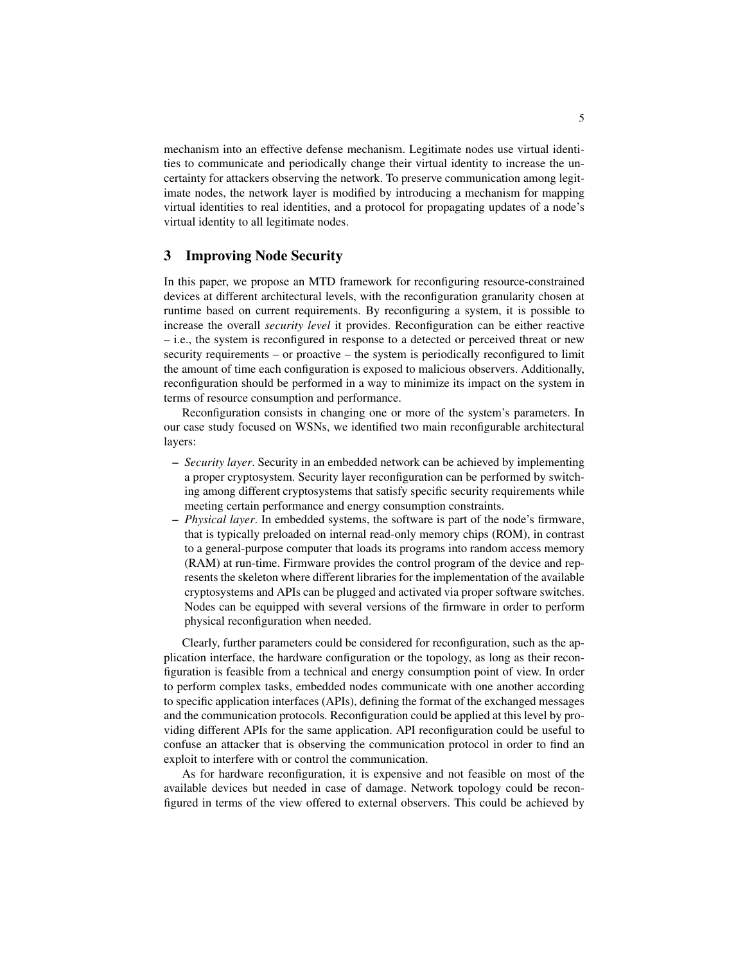mechanism into an effective defense mechanism. Legitimate nodes use virtual identities to communicate and periodically change their virtual identity to increase the uncertainty for attackers observing the network. To preserve communication among legitimate nodes, the network layer is modified by introducing a mechanism for mapping virtual identities to real identities, and a protocol for propagating updates of a node's virtual identity to all legitimate nodes.

### 3 Improving Node Security

In this paper, we propose an MTD framework for reconfiguring resource-constrained devices at different architectural levels, with the reconfiguration granularity chosen at runtime based on current requirements. By reconfiguring a system, it is possible to increase the overall *security level* it provides. Reconfiguration can be either reactive – i.e., the system is reconfigured in response to a detected or perceived threat or new security requirements – or proactive – the system is periodically reconfigured to limit the amount of time each configuration is exposed to malicious observers. Additionally, reconfiguration should be performed in a way to minimize its impact on the system in terms of resource consumption and performance.

Reconfiguration consists in changing one or more of the system's parameters. In our case study focused on WSNs, we identified two main reconfigurable architectural layers:

- *Security layer*. Security in an embedded network can be achieved by implementing a proper cryptosystem. Security layer reconfiguration can be performed by switching among different cryptosystems that satisfy specific security requirements while meeting certain performance and energy consumption constraints.
- *Physical layer*. In embedded systems, the software is part of the node's firmware, that is typically preloaded on internal read-only memory chips (ROM), in contrast to a general-purpose computer that loads its programs into random access memory (RAM) at run-time. Firmware provides the control program of the device and represents the skeleton where different libraries for the implementation of the available cryptosystems and APIs can be plugged and activated via proper software switches. Nodes can be equipped with several versions of the firmware in order to perform physical reconfiguration when needed.

Clearly, further parameters could be considered for reconfiguration, such as the application interface, the hardware configuration or the topology, as long as their reconfiguration is feasible from a technical and energy consumption point of view. In order to perform complex tasks, embedded nodes communicate with one another according to specific application interfaces (APIs), defining the format of the exchanged messages and the communication protocols. Reconfiguration could be applied at this level by providing different APIs for the same application. API reconfiguration could be useful to confuse an attacker that is observing the communication protocol in order to find an exploit to interfere with or control the communication.

As for hardware reconfiguration, it is expensive and not feasible on most of the available devices but needed in case of damage. Network topology could be reconfigured in terms of the view offered to external observers. This could be achieved by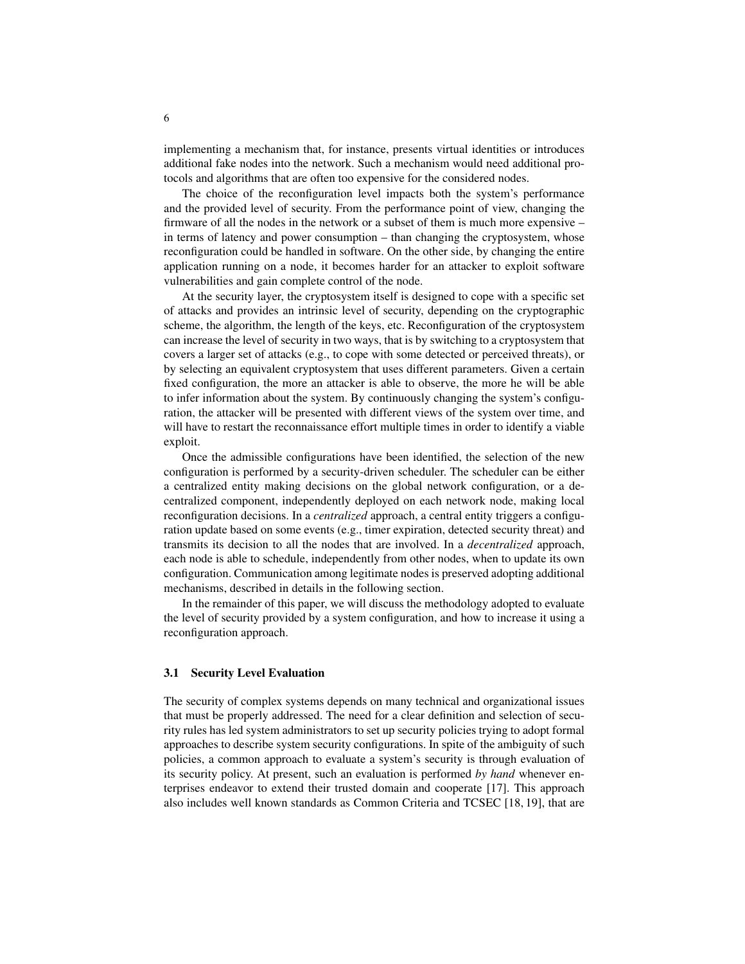implementing a mechanism that, for instance, presents virtual identities or introduces additional fake nodes into the network. Such a mechanism would need additional protocols and algorithms that are often too expensive for the considered nodes.

The choice of the reconfiguration level impacts both the system's performance and the provided level of security. From the performance point of view, changing the firmware of all the nodes in the network or a subset of them is much more expensive – in terms of latency and power consumption – than changing the cryptosystem, whose reconfiguration could be handled in software. On the other side, by changing the entire application running on a node, it becomes harder for an attacker to exploit software vulnerabilities and gain complete control of the node.

At the security layer, the cryptosystem itself is designed to cope with a specific set of attacks and provides an intrinsic level of security, depending on the cryptographic scheme, the algorithm, the length of the keys, etc. Reconfiguration of the cryptosystem can increase the level of security in two ways, that is by switching to a cryptosystem that covers a larger set of attacks (e.g., to cope with some detected or perceived threats), or by selecting an equivalent cryptosystem that uses different parameters. Given a certain fixed configuration, the more an attacker is able to observe, the more he will be able to infer information about the system. By continuously changing the system's configuration, the attacker will be presented with different views of the system over time, and will have to restart the reconnaissance effort multiple times in order to identify a viable exploit.

Once the admissible configurations have been identified, the selection of the new configuration is performed by a security-driven scheduler. The scheduler can be either a centralized entity making decisions on the global network configuration, or a decentralized component, independently deployed on each network node, making local reconfiguration decisions. In a *centralized* approach, a central entity triggers a configuration update based on some events (e.g., timer expiration, detected security threat) and transmits its decision to all the nodes that are involved. In a *decentralized* approach, each node is able to schedule, independently from other nodes, when to update its own configuration. Communication among legitimate nodes is preserved adopting additional mechanisms, described in details in the following section.

In the remainder of this paper, we will discuss the methodology adopted to evaluate the level of security provided by a system configuration, and how to increase it using a reconfiguration approach.

#### 3.1 Security Level Evaluation

The security of complex systems depends on many technical and organizational issues that must be properly addressed. The need for a clear definition and selection of security rules has led system administrators to set up security policies trying to adopt formal approaches to describe system security configurations. In spite of the ambiguity of such policies, a common approach to evaluate a system's security is through evaluation of its security policy. At present, such an evaluation is performed *by hand* whenever enterprises endeavor to extend their trusted domain and cooperate [17]. This approach also includes well known standards as Common Criteria and TCSEC [18, 19], that are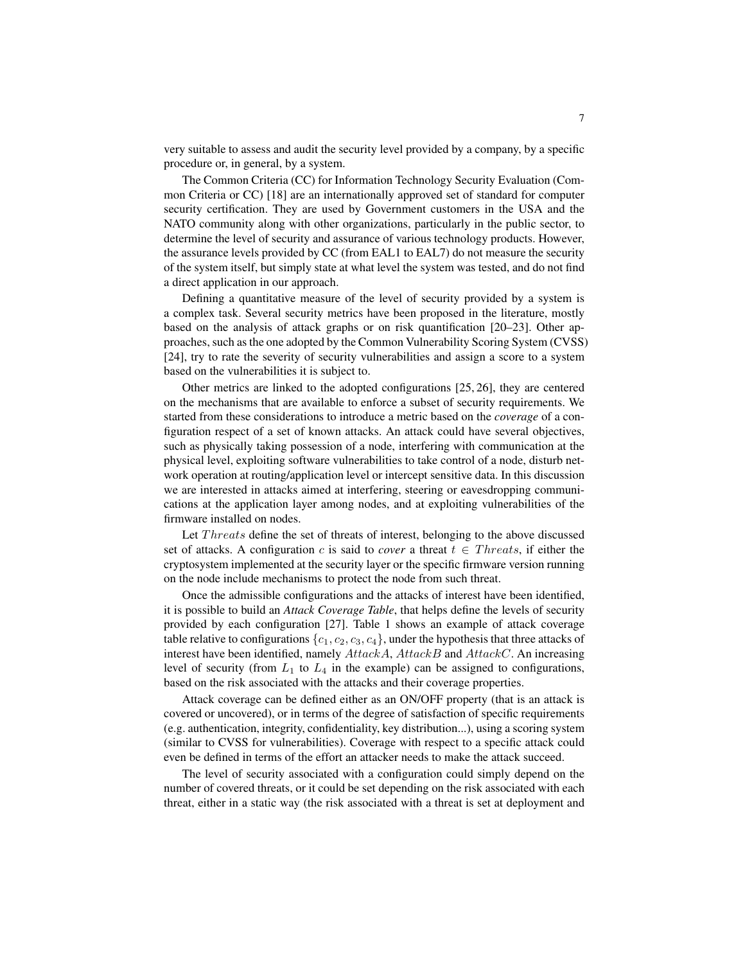very suitable to assess and audit the security level provided by a company, by a specific procedure or, in general, by a system.

The Common Criteria (CC) for Information Technology Security Evaluation (Common Criteria or CC) [18] are an internationally approved set of standard for computer security certification. They are used by Government customers in the USA and the NATO community along with other organizations, particularly in the public sector, to determine the level of security and assurance of various technology products. However, the assurance levels provided by CC (from EAL1 to EAL7) do not measure the security of the system itself, but simply state at what level the system was tested, and do not find a direct application in our approach.

Defining a quantitative measure of the level of security provided by a system is a complex task. Several security metrics have been proposed in the literature, mostly based on the analysis of attack graphs or on risk quantification [20–23]. Other approaches, such as the one adopted by the Common Vulnerability Scoring System (CVSS) [24], try to rate the severity of security vulnerabilities and assign a score to a system based on the vulnerabilities it is subject to.

Other metrics are linked to the adopted configurations [25, 26], they are centered on the mechanisms that are available to enforce a subset of security requirements. We started from these considerations to introduce a metric based on the *coverage* of a configuration respect of a set of known attacks. An attack could have several objectives, such as physically taking possession of a node, interfering with communication at the physical level, exploiting software vulnerabilities to take control of a node, disturb network operation at routing/application level or intercept sensitive data. In this discussion we are interested in attacks aimed at interfering, steering or eavesdropping communications at the application layer among nodes, and at exploiting vulnerabilities of the firmware installed on nodes.

Let Threats define the set of threats of interest, belonging to the above discussed set of attacks. A configuration c is said to *cover* a threat  $t \in Threads$ , if either the cryptosystem implemented at the security layer or the specific firmware version running on the node include mechanisms to protect the node from such threat.

Once the admissible configurations and the attacks of interest have been identified, it is possible to build an *Attack Coverage Table*, that helps define the levels of security provided by each configuration [27]. Table 1 shows an example of attack coverage table relative to configurations  $\{c_1, c_2, c_3, c_4\}$ , under the hypothesis that three attacks of interest have been identified, namely  $AttackA$ ,  $AttackB$  and  $AttackC$ . An increasing level of security (from  $L_1$  to  $L_4$  in the example) can be assigned to configurations, based on the risk associated with the attacks and their coverage properties.

Attack coverage can be defined either as an ON/OFF property (that is an attack is covered or uncovered), or in terms of the degree of satisfaction of specific requirements (e.g. authentication, integrity, confidentiality, key distribution...), using a scoring system (similar to CVSS for vulnerabilities). Coverage with respect to a specific attack could even be defined in terms of the effort an attacker needs to make the attack succeed.

The level of security associated with a configuration could simply depend on the number of covered threats, or it could be set depending on the risk associated with each threat, either in a static way (the risk associated with a threat is set at deployment and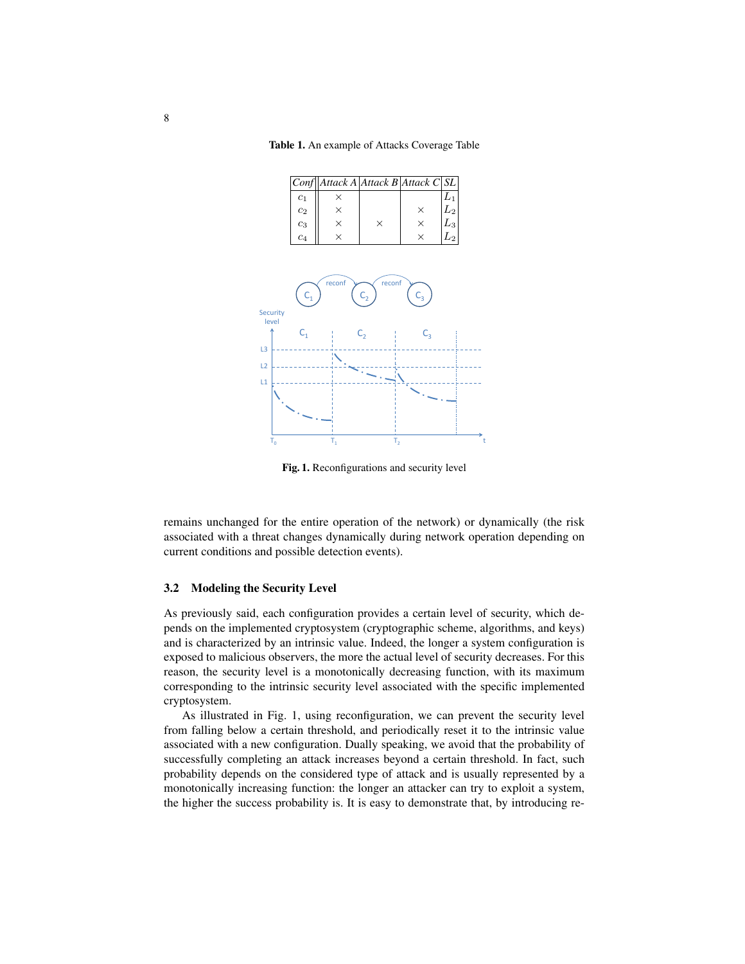Table 1. An example of Attacks Coverage Table

|       | $\lfloor \text{Conf} \rfloor$ Attack A Attack B Attack C SL |  |    |
|-------|-------------------------------------------------------------|--|----|
| $c_1$ |                                                             |  |    |
| $c_2$ |                                                             |  |    |
| $c_3$ |                                                             |  | ó, |
| C4    |                                                             |  |    |



Fig. 1. Reconfigurations and security level

remains unchanged for the entire operation of the network) or dynamically (the risk associated with a threat changes dynamically during network operation depending on current conditions and possible detection events).

#### 3.2 Modeling the Security Level

As previously said, each configuration provides a certain level of security, which depends on the implemented cryptosystem (cryptographic scheme, algorithms, and keys) and is characterized by an intrinsic value. Indeed, the longer a system configuration is exposed to malicious observers, the more the actual level of security decreases. For this reason, the security level is a monotonically decreasing function, with its maximum corresponding to the intrinsic security level associated with the specific implemented cryptosystem.

As illustrated in Fig. 1, using reconfiguration, we can prevent the security level from falling below a certain threshold, and periodically reset it to the intrinsic value associated with a new configuration. Dually speaking, we avoid that the probability of successfully completing an attack increases beyond a certain threshold. In fact, such probability depends on the considered type of attack and is usually represented by a monotonically increasing function: the longer an attacker can try to exploit a system, the higher the success probability is. It is easy to demonstrate that, by introducing re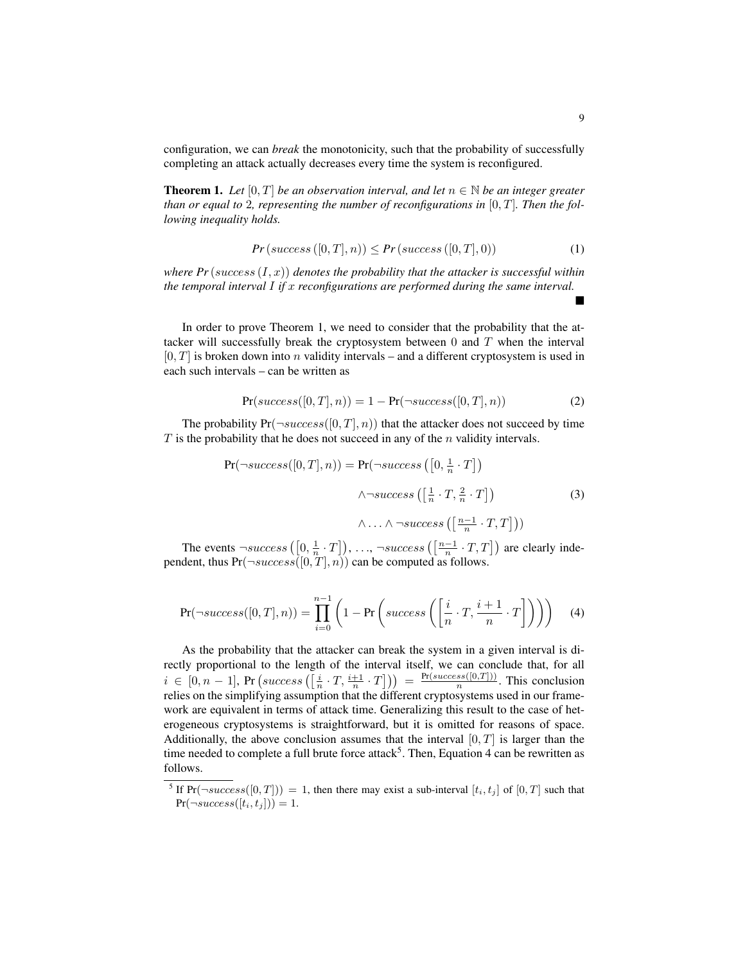configuration, we can *break* the monotonicity, such that the probability of successfully completing an attack actually decreases every time the system is reconfigured.

**Theorem 1.** Let  $[0, T]$  be an observation interval, and let  $n \in \mathbb{N}$  be an integer greater *than or equal to 2, representing the number of reconfigurations in*  $[0, T]$ *. Then the following inequality holds.*

$$
Pr(success([0,T],n)) \le Pr(success([0,T],0))
$$
\n<sup>(1)</sup>

*where Pr*(success  $(I, x)$ ) *denotes the probability that the attacker is successful within the temporal interval* I *if* x *reconfigurations are performed during the same interval.*

In order to prove Theorem 1, we need to consider that the probability that the attacker will successfully break the cryptosystem between  $0$  and  $T$  when the interval  $[0, T]$  is broken down into *n* validity intervals – and a different cryptosystem is used in each such intervals – can be written as

$$
Pr(success([0,T],n)) = 1 - Pr(\neg success([0,T],n))
$$
\n(2)

The probability  $Pr(\neg success([0, T], n))$  that the attacker does not succeed by time  $T$  is the probability that he does not succeed in any of the  $n$  validity intervals.

$$
Pr(\neg success([0, T], n)) = Pr(\neg success([0, \frac{1}{n} \cdot T])
$$

$$
\land \neg success([\frac{1}{n} \cdot T, \frac{2}{n} \cdot T])
$$
(3)
$$
\land \dots \land \neg success([\frac{n-1}{n} \cdot T, T]))
$$

The events  $\neg success([\left[0, \frac{1}{n} \cdot T\right]), \dots, \neg success([\frac{n-1}{n} \cdot T, T])$  are clearly independent, thus  $Pr(\neg success([0, T], n))$  can be computed as follows.

$$
\Pr(\neg success([0, T], n)) = \prod_{i=0}^{n-1} \left(1 - \Pr\left(success\left(\left[\frac{i}{n} \cdot T, \frac{i+1}{n} \cdot T\right]\right)\right)\right) \tag{4}
$$

As the probability that the attacker can break the system in a given interval is directly proportional to the length of the interval itself, we can conclude that, for all  $i \in [0, n-1]$ , Pr  $(success([\frac{i}{n} \cdot T, \frac{i+1}{n} \cdot T])) = \frac{\Pr(saccess([0,T]))}{n}$  $\frac{ss(\lfloor 0,1 \rfloor)}{n}$ . This conclusion relies on the simplifying assumption that the different cryptosystems used in our framework are equivalent in terms of attack time. Generalizing this result to the case of heterogeneous cryptosystems is straightforward, but it is omitted for reasons of space. Additionally, the above conclusion assumes that the interval  $[0, T]$  is larger than the time needed to complete a full brute force attack<sup>5</sup>. Then, Equation 4 can be rewritten as follows.

 $\blacksquare$ 

<sup>&</sup>lt;sup>5</sup> If Pr( $\neg$ success([0,T])) = 1, then there may exist a sub-interval [t<sub>i</sub>, t<sub>j</sub>] of [0,T] such that  $Pr(\neg success([t_i, t_j])) = 1.$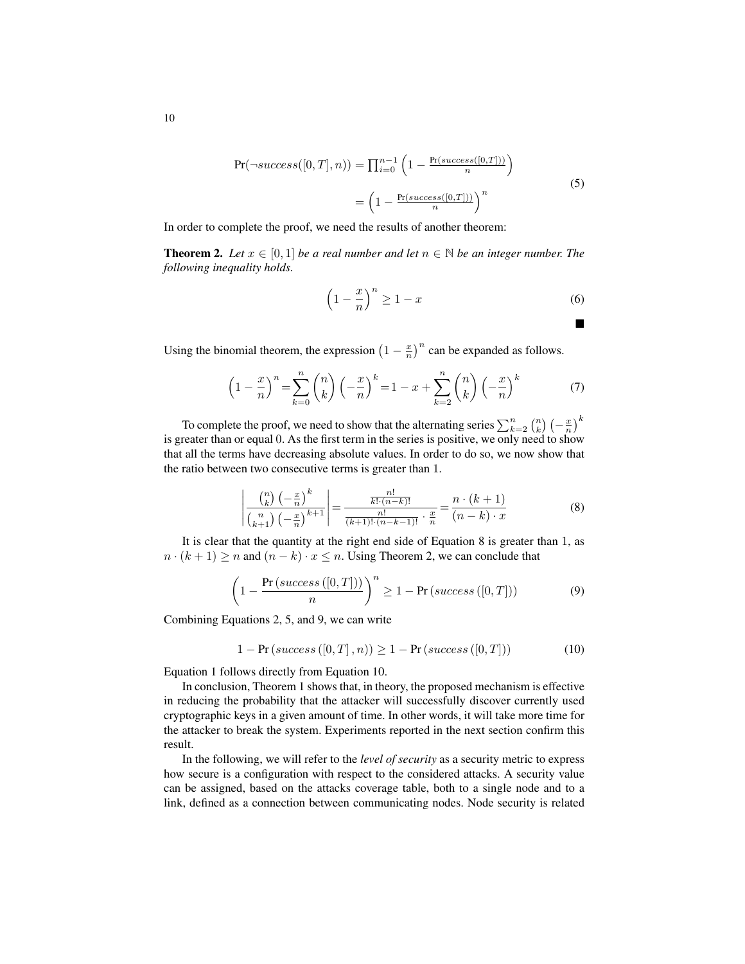$$
Pr(\neg success([0, T], n)) = \prod_{i=0}^{n-1} \left(1 - \frac{Pr(success([0, T]))}{n}\right)
$$

$$
= \left(1 - \frac{Pr(success([0, T]))}{n}\right)^n
$$
(5)

In order to complete the proof, we need the results of another theorem:

**Theorem 2.** Let  $x \in [0, 1]$  be a real number and let  $n \in \mathbb{N}$  be an integer number. The *following inequality holds.*

$$
\left(1 - \frac{x}{n}\right)^n \ge 1 - x\tag{6}
$$

Using the binomial theorem, the expression  $\left(1 - \frac{x}{n}\right)^n$  can be expanded as follows.

$$
\left(1 - \frac{x}{n}\right)^n = \sum_{k=0}^n \binom{n}{k} \left(-\frac{x}{n}\right)^k = 1 - x + \sum_{k=2}^n \binom{n}{k} \left(-\frac{x}{n}\right)^k \tag{7}
$$

To complete the proof, we need to show that the alternating series  $\sum_{k=2}^n\binom{n}{k}\left(-\frac{x}{n}\right)^k$ is greater than or equal 0. As the first term in the series is positive, we only need to show that all the terms have decreasing absolute values. In order to do so, we now show that the ratio between two consecutive terms is greater than 1.

$$
\left| \frac{\binom{n}{k} \left( -\frac{x}{n} \right)^k}{\binom{n}{k+1} \left( -\frac{x}{n} \right)^{k+1}} \right| = \frac{\frac{n!}{k! \cdot (n-k)!}}{\frac{n!}{(k+1)! \cdot (n-k-1)!} \cdot \frac{x}{n}} = \frac{n \cdot (k+1)}{(n-k) \cdot x}
$$
(8)

It is clear that the quantity at the right end side of Equation 8 is greater than 1, as  $n \cdot (k+1) \geq n$  and  $(n-k) \cdot x \leq n$ . Using Theorem 2, we can conclude that

$$
\left(1 - \frac{\Pr\left(succes\left(\left[0, T\right]\right)\right)}{n}\right)^n \ge 1 - \Pr\left(succes\left(\left[0, T\right]\right)\right) \tag{9}
$$

Combining Equations 2, 5, and 9, we can write

$$
1 - \Pr(success([0, T], n)) \ge 1 - \Pr(success([0, T])) \tag{10}
$$

Equation 1 follows directly from Equation 10.

In conclusion, Theorem 1 shows that, in theory, the proposed mechanism is effective in reducing the probability that the attacker will successfully discover currently used cryptographic keys in a given amount of time. In other words, it will take more time for the attacker to break the system. Experiments reported in the next section confirm this result.

In the following, we will refer to the *level of security* as a security metric to express how secure is a configuration with respect to the considered attacks. A security value can be assigned, based on the attacks coverage table, both to a single node and to a link, defined as a connection between communicating nodes. Node security is related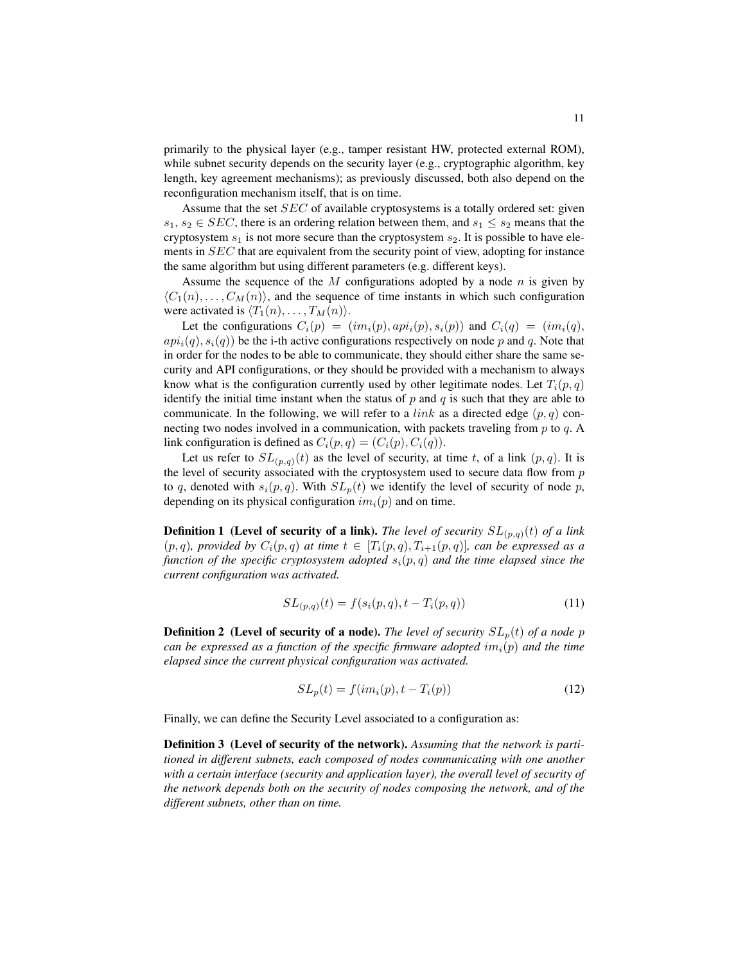primarily to the physical layer (e.g., tamper resistant HW, protected external ROM), while subnet security depends on the security layer (e.g., cryptographic algorithm, key length, key agreement mechanisms); as previously discussed, both also depend on the reconfiguration mechanism itself, that is on time.

Assume that the set SEC of available cryptosystems is a totally ordered set: given  $s_1, s_2 \in SEC$ , there is an ordering relation between them, and  $s_1 \leq s_2$  means that the cryptosystem  $s_1$  is not more secure than the cryptosystem  $s_2$ . It is possible to have elements in *SEC* that are equivalent from the security point of view, adopting for instance the same algorithm but using different parameters (e.g. different keys).

Assume the sequence of the  $M$  configurations adopted by a node  $n$  is given by  $\langle C_1(n), \ldots, C_M(n) \rangle$ , and the sequence of time instants in which such configuration were activated is  $\langle T_1(n), \ldots, T_M(n) \rangle$ .

Let the configurations  $C_i(p) = (im_i(p), api_i(p), s_i(p))$  and  $C_i(q) = (im_i(q),$  $api_i(q), s_i(q)$  be the i-th active configurations respectively on node p and q. Note that in order for the nodes to be able to communicate, they should either share the same security and API configurations, or they should be provided with a mechanism to always know what is the configuration currently used by other legitimate nodes. Let  $T_i(p,q)$ identify the initial time instant when the status of  $p$  and  $q$  is such that they are able to communicate. In the following, we will refer to a *link* as a directed edge  $(p, q)$  connecting two nodes involved in a communication, with packets traveling from p to q. A link configuration is defined as  $C_i(p,q) = (C_i(p), C_i(q)).$ 

Let us refer to  $SL_{(p,q)}(t)$  as the level of security, at time t, of a link  $(p,q)$ . It is the level of security associated with the cryptosystem used to secure data flow from  $p$ to q, denoted with  $s_i(p, q)$ . With  $SL_p(t)$  we identify the level of security of node p, depending on its physical configuration  $im_i(p)$  and on time.

**Definition 1** (Level of security of a link). The level of security  $SL_{(p,q)}(t)$  of a link  $(p, q)$ *, provided by*  $C_i(p, q)$  *at time*  $t \in [T_i(p, q), T_{i+1}(p, q)]$ *, can be expressed as a function of the specific cryptosystem adopted*  $s_i(p,q)$  *and the time elapsed since the current configuration was activated.*

$$
SL_{(p,q)}(t) = f(s_i(p,q), t - T_i(p,q))
$$
\n(11)

**Definition 2** (Level of security of a node). *The level of security*  $SL_p(t)$  *of a node* p *can be expressed as a function of the specific firmware adopted*  $im_i(p)$  *and the time elapsed since the current physical configuration was activated.*

$$
SL_p(t) = f(im_i(p), t - T_i(p))
$$
\n(12)

Finally, we can define the Security Level associated to a configuration as:

Definition 3 (Level of security of the network). *Assuming that the network is partitioned in different subnets, each composed of nodes communicating with one another with a certain interface (security and application layer), the overall level of security of the network depends both on the security of nodes composing the network, and of the different subnets, other than on time.*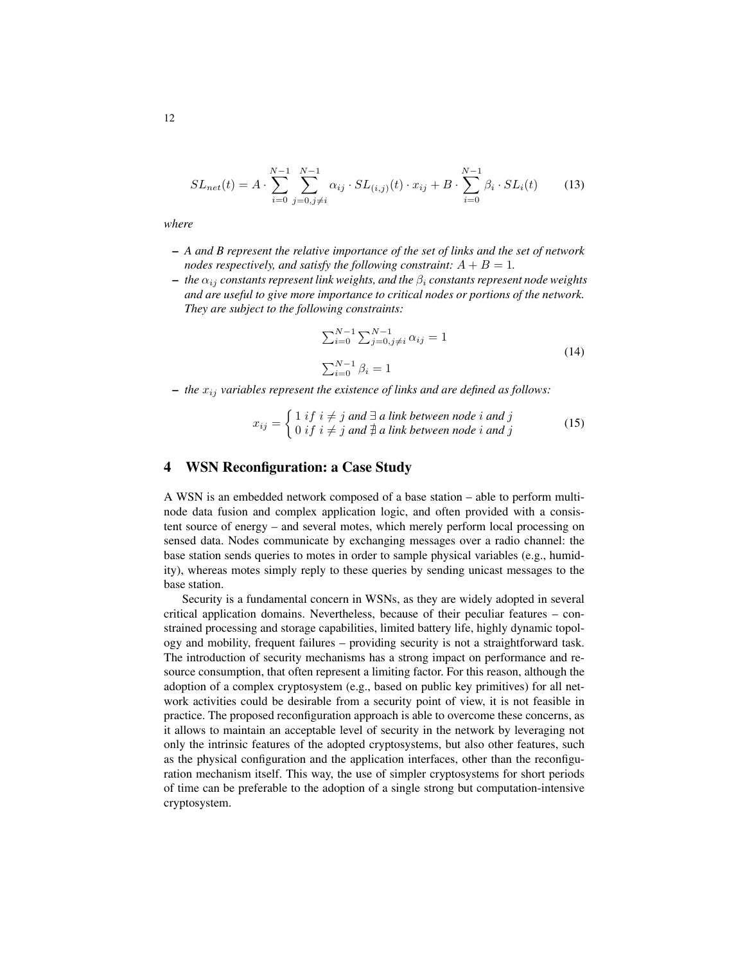$$
SL_{net}(t) = A \cdot \sum_{i=0}^{N-1} \sum_{j=0, j \neq i}^{N-1} \alpha_{ij} \cdot SL_{(i,j)}(t) \cdot x_{ij} + B \cdot \sum_{i=0}^{N-1} \beta_i \cdot SL_i(t) \tag{13}
$$

*where*

- *A and B represent the relative importance of the set of links and the set of network nodes respectively, and satisfy the following constraint:*  $A + B = 1$ *.*
- $-$  *the*  $\alpha_{ij}$  *constants represent link weights, and the*  $\beta_i$  *constants represent node weights and are useful to give more importance to critical nodes or portions of the network. They are subject to the following constraints:*

$$
\sum_{i=0}^{N-1} \sum_{j=0, j \neq i}^{N-1} \alpha_{ij} = 1
$$
\n
$$
\sum_{i=0}^{N-1} \beta_i = 1
$$
\n(14)

 $-$  *the*  $x_{ij}$  *variables represent the existence of links and are defined as follows:* 

$$
x_{ij} = \begin{cases} 1 \text{ if } i \neq j \text{ and } \exists \text{ a link between node } i \text{ and } j \\ 0 \text{ if } i \neq j \text{ and } \nexists \text{ a link between node } i \text{ and } j \end{cases} \tag{15}
$$

## 4 WSN Reconfiguration: a Case Study

A WSN is an embedded network composed of a base station – able to perform multinode data fusion and complex application logic, and often provided with a consistent source of energy – and several motes, which merely perform local processing on sensed data. Nodes communicate by exchanging messages over a radio channel: the base station sends queries to motes in order to sample physical variables (e.g., humidity), whereas motes simply reply to these queries by sending unicast messages to the base station.

Security is a fundamental concern in WSNs, as they are widely adopted in several critical application domains. Nevertheless, because of their peculiar features – constrained processing and storage capabilities, limited battery life, highly dynamic topology and mobility, frequent failures – providing security is not a straightforward task. The introduction of security mechanisms has a strong impact on performance and resource consumption, that often represent a limiting factor. For this reason, although the adoption of a complex cryptosystem (e.g., based on public key primitives) for all network activities could be desirable from a security point of view, it is not feasible in practice. The proposed reconfiguration approach is able to overcome these concerns, as it allows to maintain an acceptable level of security in the network by leveraging not only the intrinsic features of the adopted cryptosystems, but also other features, such as the physical configuration and the application interfaces, other than the reconfiguration mechanism itself. This way, the use of simpler cryptosystems for short periods of time can be preferable to the adoption of a single strong but computation-intensive cryptosystem.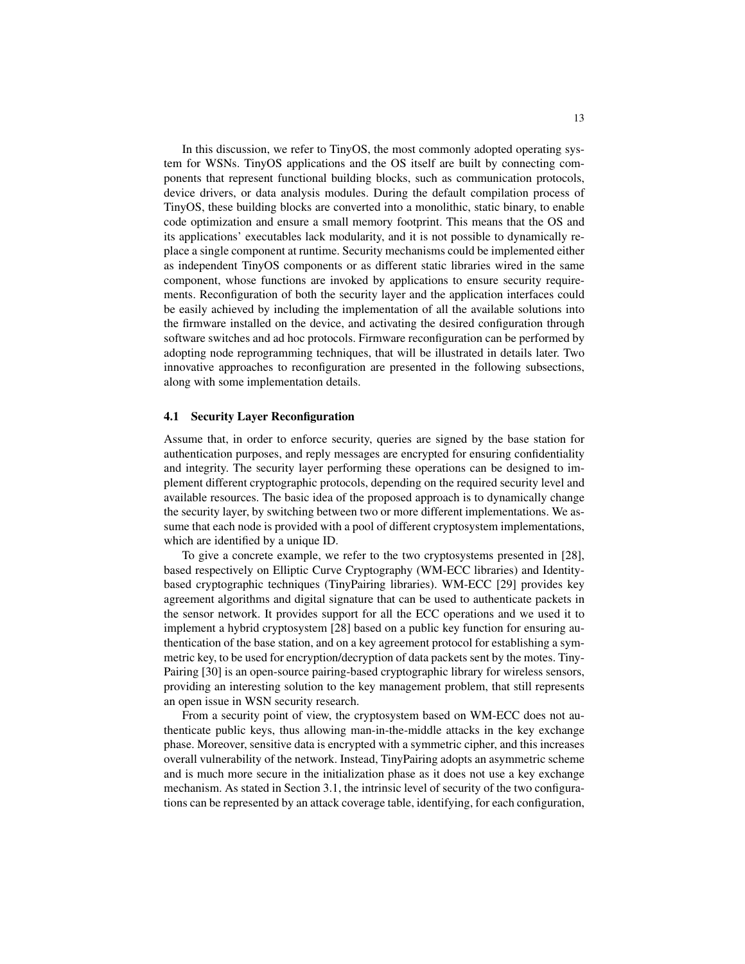In this discussion, we refer to TinyOS, the most commonly adopted operating system for WSNs. TinyOS applications and the OS itself are built by connecting components that represent functional building blocks, such as communication protocols, device drivers, or data analysis modules. During the default compilation process of TinyOS, these building blocks are converted into a monolithic, static binary, to enable code optimization and ensure a small memory footprint. This means that the OS and its applications' executables lack modularity, and it is not possible to dynamically replace a single component at runtime. Security mechanisms could be implemented either as independent TinyOS components or as different static libraries wired in the same component, whose functions are invoked by applications to ensure security requirements. Reconfiguration of both the security layer and the application interfaces could be easily achieved by including the implementation of all the available solutions into the firmware installed on the device, and activating the desired configuration through software switches and ad hoc protocols. Firmware reconfiguration can be performed by adopting node reprogramming techniques, that will be illustrated in details later. Two innovative approaches to reconfiguration are presented in the following subsections, along with some implementation details.

#### 4.1 Security Layer Reconfiguration

Assume that, in order to enforce security, queries are signed by the base station for authentication purposes, and reply messages are encrypted for ensuring confidentiality and integrity. The security layer performing these operations can be designed to implement different cryptographic protocols, depending on the required security level and available resources. The basic idea of the proposed approach is to dynamically change the security layer, by switching between two or more different implementations. We assume that each node is provided with a pool of different cryptosystem implementations, which are identified by a unique ID.

To give a concrete example, we refer to the two cryptosystems presented in [28], based respectively on Elliptic Curve Cryptography (WM-ECC libraries) and Identitybased cryptographic techniques (TinyPairing libraries). WM-ECC [29] provides key agreement algorithms and digital signature that can be used to authenticate packets in the sensor network. It provides support for all the ECC operations and we used it to implement a hybrid cryptosystem [28] based on a public key function for ensuring authentication of the base station, and on a key agreement protocol for establishing a symmetric key, to be used for encryption/decryption of data packets sent by the motes. Tiny-Pairing [30] is an open-source pairing-based cryptographic library for wireless sensors, providing an interesting solution to the key management problem, that still represents an open issue in WSN security research.

From a security point of view, the cryptosystem based on WM-ECC does not authenticate public keys, thus allowing man-in-the-middle attacks in the key exchange phase. Moreover, sensitive data is encrypted with a symmetric cipher, and this increases overall vulnerability of the network. Instead, TinyPairing adopts an asymmetric scheme and is much more secure in the initialization phase as it does not use a key exchange mechanism. As stated in Section 3.1, the intrinsic level of security of the two configurations can be represented by an attack coverage table, identifying, for each configuration,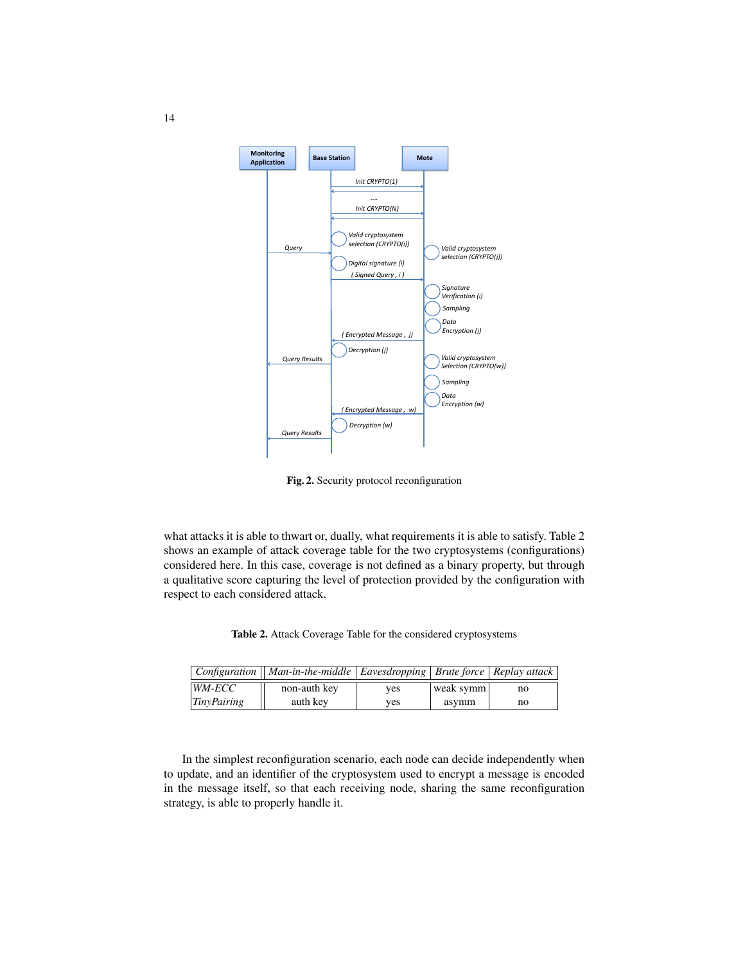

Fig. 2. Security protocol reconfiguration

what attacks it is able to thwart or, dually, what requirements it is able to satisfy. Table 2 shows an example of attack coverage table for the two cryptosystems (configurations) considered here. In this case, coverage is not defined as a binary property, but through a qualitative score capturing the level of protection provided by the configuration with respect to each considered attack.

Table 2. Attack Coverage Table for the considered cryptosystems

|                   | $\vert$ Configuration $\vert\vert$ Man-in-the-middle $\vert$ Eavesdropping $\vert$ Brute force $\vert$ Replay attack |     |           |    |
|-------------------|----------------------------------------------------------------------------------------------------------------------|-----|-----------|----|
| $ WM\text{-}ECC $ | non-auth key                                                                                                         | ves | weak symm | no |
| TinyPairing       | auth key                                                                                                             | ves | asymm     | no |

In the simplest reconfiguration scenario, each node can decide independently when to update, and an identifier of the cryptosystem used to encrypt a message is encoded in the message itself, so that each receiving node, sharing the same reconfiguration strategy, is able to properly handle it.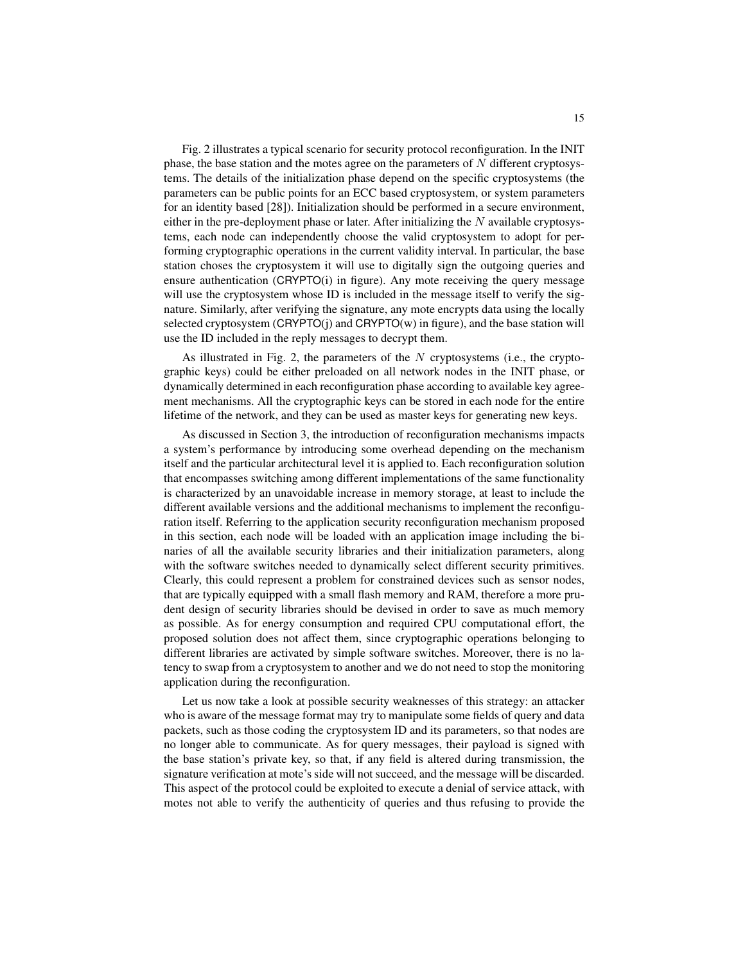Fig. 2 illustrates a typical scenario for security protocol reconfiguration. In the INIT phase, the base station and the motes agree on the parameters of  $N$  different cryptosystems. The details of the initialization phase depend on the specific cryptosystems (the parameters can be public points for an ECC based cryptosystem, or system parameters for an identity based [28]). Initialization should be performed in a secure environment, either in the pre-deployment phase or later. After initializing the  $N$  available cryptosystems, each node can independently choose the valid cryptosystem to adopt for performing cryptographic operations in the current validity interval. In particular, the base station choses the cryptosystem it will use to digitally sign the outgoing queries and ensure authentication (CRYPTO(i) in figure). Any mote receiving the query message will use the cryptosystem whose ID is included in the message itself to verify the signature. Similarly, after verifying the signature, any mote encrypts data using the locally selected cryptosystem  $(CRYPTO(i))$  and  $CRYPTO(w)$  in figure), and the base station will use the ID included in the reply messages to decrypt them.

As illustrated in Fig. 2, the parameters of the  $N$  cryptosystems (i.e., the cryptographic keys) could be either preloaded on all network nodes in the INIT phase, or dynamically determined in each reconfiguration phase according to available key agreement mechanisms. All the cryptographic keys can be stored in each node for the entire lifetime of the network, and they can be used as master keys for generating new keys.

As discussed in Section 3, the introduction of reconfiguration mechanisms impacts a system's performance by introducing some overhead depending on the mechanism itself and the particular architectural level it is applied to. Each reconfiguration solution that encompasses switching among different implementations of the same functionality is characterized by an unavoidable increase in memory storage, at least to include the different available versions and the additional mechanisms to implement the reconfiguration itself. Referring to the application security reconfiguration mechanism proposed in this section, each node will be loaded with an application image including the binaries of all the available security libraries and their initialization parameters, along with the software switches needed to dynamically select different security primitives. Clearly, this could represent a problem for constrained devices such as sensor nodes, that are typically equipped with a small flash memory and RAM, therefore a more prudent design of security libraries should be devised in order to save as much memory as possible. As for energy consumption and required CPU computational effort, the proposed solution does not affect them, since cryptographic operations belonging to different libraries are activated by simple software switches. Moreover, there is no latency to swap from a cryptosystem to another and we do not need to stop the monitoring application during the reconfiguration.

Let us now take a look at possible security weaknesses of this strategy: an attacker who is aware of the message format may try to manipulate some fields of query and data packets, such as those coding the cryptosystem ID and its parameters, so that nodes are no longer able to communicate. As for query messages, their payload is signed with the base station's private key, so that, if any field is altered during transmission, the signature verification at mote's side will not succeed, and the message will be discarded. This aspect of the protocol could be exploited to execute a denial of service attack, with motes not able to verify the authenticity of queries and thus refusing to provide the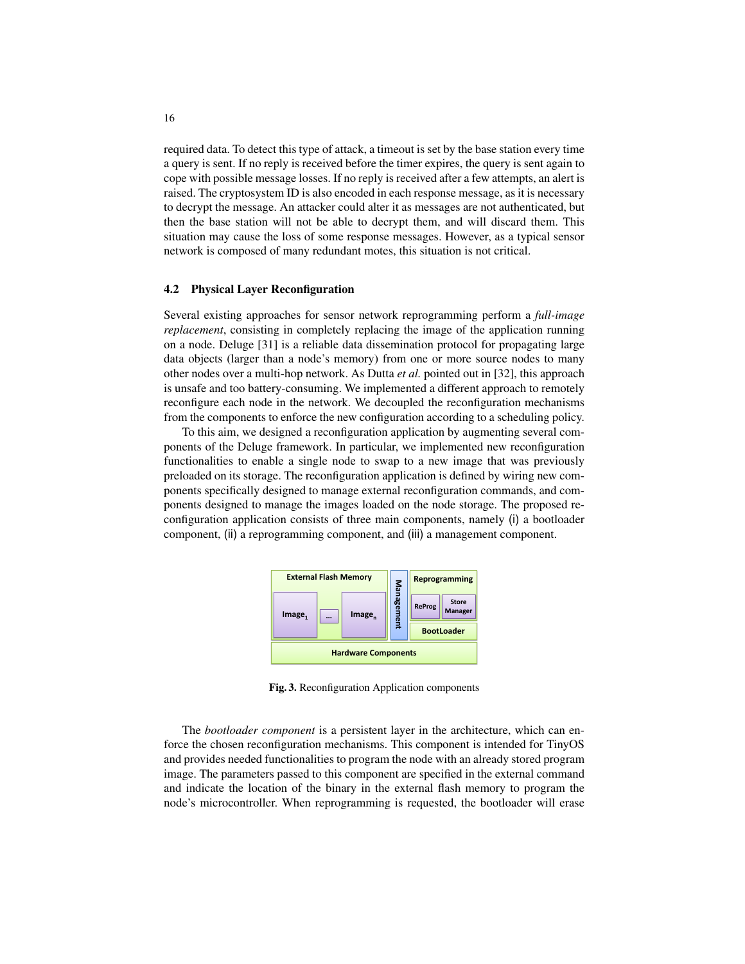required data. To detect this type of attack, a timeout is set by the base station every time a query is sent. If no reply is received before the timer expires, the query is sent again to cope with possible message losses. If no reply is received after a few attempts, an alert is raised. The cryptosystem ID is also encoded in each response message, as it is necessary to decrypt the message. An attacker could alter it as messages are not authenticated, but then the base station will not be able to decrypt them, and will discard them. This situation may cause the loss of some response messages. However, as a typical sensor network is composed of many redundant motes, this situation is not critical.

#### 4.2 Physical Layer Reconfiguration

Several existing approaches for sensor network reprogramming perform a *full-image replacement*, consisting in completely replacing the image of the application running on a node. Deluge [31] is a reliable data dissemination protocol for propagating large data objects (larger than a node's memory) from one or more source nodes to many other nodes over a multi-hop network. As Dutta *et al.* pointed out in [32], this approach is unsafe and too battery-consuming. We implemented a different approach to remotely reconfigure each node in the network. We decoupled the reconfiguration mechanisms from the components to enforce the new configuration according to a scheduling policy.

To this aim, we designed a reconfiguration application by augmenting several components of the Deluge framework. In particular, we implemented new reconfiguration functionalities to enable a single node to swap to a new image that was previously preloaded on its storage. The reconfiguration application is defined by wiring new components specifically designed to manage external reconfiguration commands, and components designed to manage the images loaded on the node storage. The proposed reconfiguration application consists of three main components, namely (i) a bootloader component, (ii) a reprogramming component, and (iii) a management component.



Fig. 3. Reconfiguration Application components

The *bootloader component* is a persistent layer in the architecture, which can enforce the chosen reconfiguration mechanisms. This component is intended for TinyOS and provides needed functionalities to program the node with an already stored program image. The parameters passed to this component are specified in the external command and indicate the location of the binary in the external flash memory to program the node's microcontroller. When reprogramming is requested, the bootloader will erase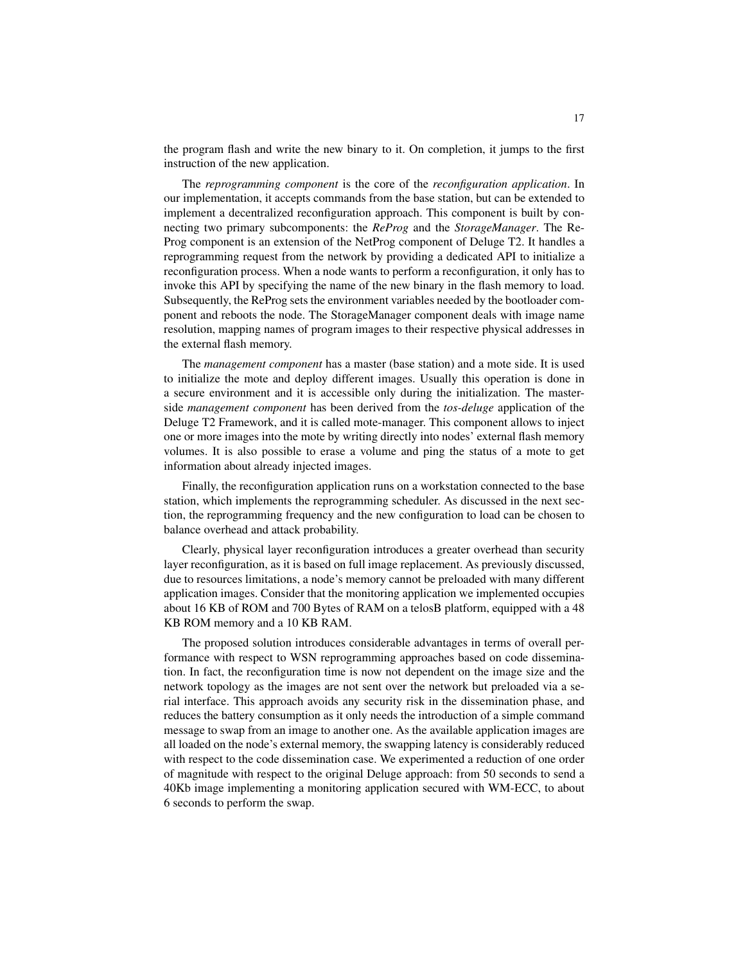the program flash and write the new binary to it. On completion, it jumps to the first instruction of the new application.

The *reprogramming component* is the core of the *reconfiguration application*. In our implementation, it accepts commands from the base station, but can be extended to implement a decentralized reconfiguration approach. This component is built by connecting two primary subcomponents: the *ReProg* and the *StorageManager*. The Re-Prog component is an extension of the NetProg component of Deluge T2. It handles a reprogramming request from the network by providing a dedicated API to initialize a reconfiguration process. When a node wants to perform a reconfiguration, it only has to invoke this API by specifying the name of the new binary in the flash memory to load. Subsequently, the ReProg sets the environment variables needed by the bootloader component and reboots the node. The StorageManager component deals with image name resolution, mapping names of program images to their respective physical addresses in the external flash memory.

The *management component* has a master (base station) and a mote side. It is used to initialize the mote and deploy different images. Usually this operation is done in a secure environment and it is accessible only during the initialization. The masterside *management component* has been derived from the *tos-deluge* application of the Deluge T2 Framework, and it is called mote-manager. This component allows to inject one or more images into the mote by writing directly into nodes' external flash memory volumes. It is also possible to erase a volume and ping the status of a mote to get information about already injected images.

Finally, the reconfiguration application runs on a workstation connected to the base station, which implements the reprogramming scheduler. As discussed in the next section, the reprogramming frequency and the new configuration to load can be chosen to balance overhead and attack probability.

Clearly, physical layer reconfiguration introduces a greater overhead than security layer reconfiguration, as it is based on full image replacement. As previously discussed, due to resources limitations, a node's memory cannot be preloaded with many different application images. Consider that the monitoring application we implemented occupies about 16 KB of ROM and 700 Bytes of RAM on a telosB platform, equipped with a 48 KB ROM memory and a 10 KB RAM.

The proposed solution introduces considerable advantages in terms of overall performance with respect to WSN reprogramming approaches based on code dissemination. In fact, the reconfiguration time is now not dependent on the image size and the network topology as the images are not sent over the network but preloaded via a serial interface. This approach avoids any security risk in the dissemination phase, and reduces the battery consumption as it only needs the introduction of a simple command message to swap from an image to another one. As the available application images are all loaded on the node's external memory, the swapping latency is considerably reduced with respect to the code dissemination case. We experimented a reduction of one order of magnitude with respect to the original Deluge approach: from 50 seconds to send a 40Kb image implementing a monitoring application secured with WM-ECC, to about 6 seconds to perform the swap.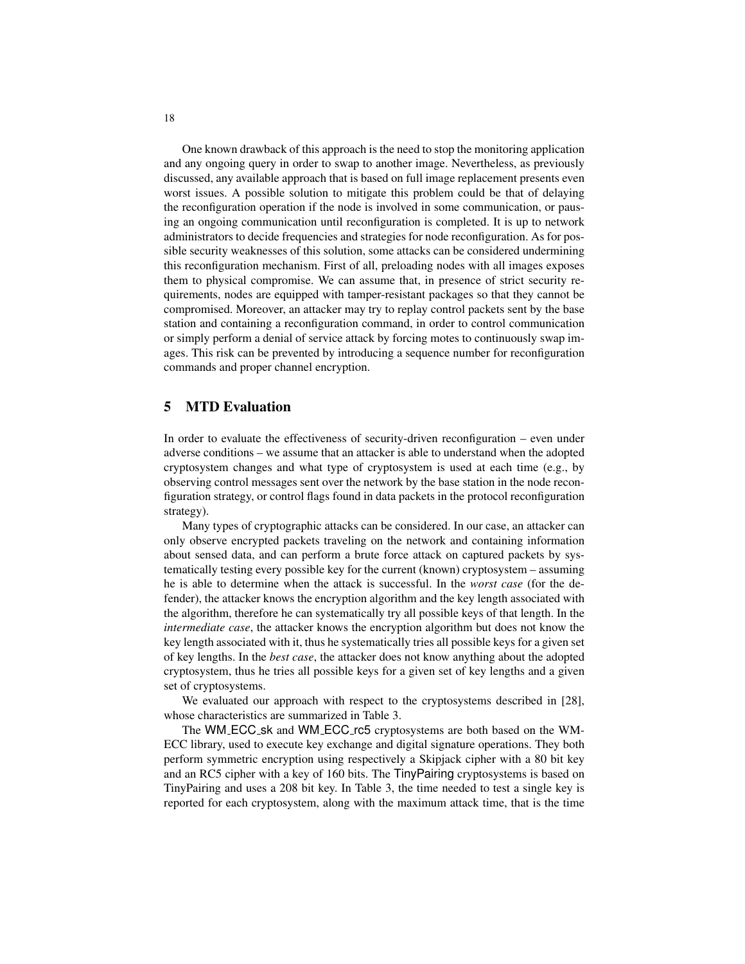One known drawback of this approach is the need to stop the monitoring application and any ongoing query in order to swap to another image. Nevertheless, as previously discussed, any available approach that is based on full image replacement presents even worst issues. A possible solution to mitigate this problem could be that of delaying the reconfiguration operation if the node is involved in some communication, or pausing an ongoing communication until reconfiguration is completed. It is up to network administrators to decide frequencies and strategies for node reconfiguration. As for possible security weaknesses of this solution, some attacks can be considered undermining this reconfiguration mechanism. First of all, preloading nodes with all images exposes them to physical compromise. We can assume that, in presence of strict security requirements, nodes are equipped with tamper-resistant packages so that they cannot be compromised. Moreover, an attacker may try to replay control packets sent by the base station and containing a reconfiguration command, in order to control communication or simply perform a denial of service attack by forcing motes to continuously swap images. This risk can be prevented by introducing a sequence number for reconfiguration commands and proper channel encryption.

## 5 MTD Evaluation

In order to evaluate the effectiveness of security-driven reconfiguration – even under adverse conditions – we assume that an attacker is able to understand when the adopted cryptosystem changes and what type of cryptosystem is used at each time (e.g., by observing control messages sent over the network by the base station in the node reconfiguration strategy, or control flags found in data packets in the protocol reconfiguration strategy).

Many types of cryptographic attacks can be considered. In our case, an attacker can only observe encrypted packets traveling on the network and containing information about sensed data, and can perform a brute force attack on captured packets by systematically testing every possible key for the current (known) cryptosystem – assuming he is able to determine when the attack is successful. In the *worst case* (for the defender), the attacker knows the encryption algorithm and the key length associated with the algorithm, therefore he can systematically try all possible keys of that length. In the *intermediate case*, the attacker knows the encryption algorithm but does not know the key length associated with it, thus he systematically tries all possible keys for a given set of key lengths. In the *best case*, the attacker does not know anything about the adopted cryptosystem, thus he tries all possible keys for a given set of key lengths and a given set of cryptosystems.

We evaluated our approach with respect to the cryptosystems described in [28], whose characteristics are summarized in Table 3.

The WM\_ECC\_sk and WM\_ECC\_rc5 cryptosystems are both based on the WM-ECC library, used to execute key exchange and digital signature operations. They both perform symmetric encryption using respectively a Skipjack cipher with a 80 bit key and an RC5 cipher with a key of 160 bits. The TinyPairing cryptosystems is based on TinyPairing and uses a 208 bit key. In Table 3, the time needed to test a single key is reported for each cryptosystem, along with the maximum attack time, that is the time

18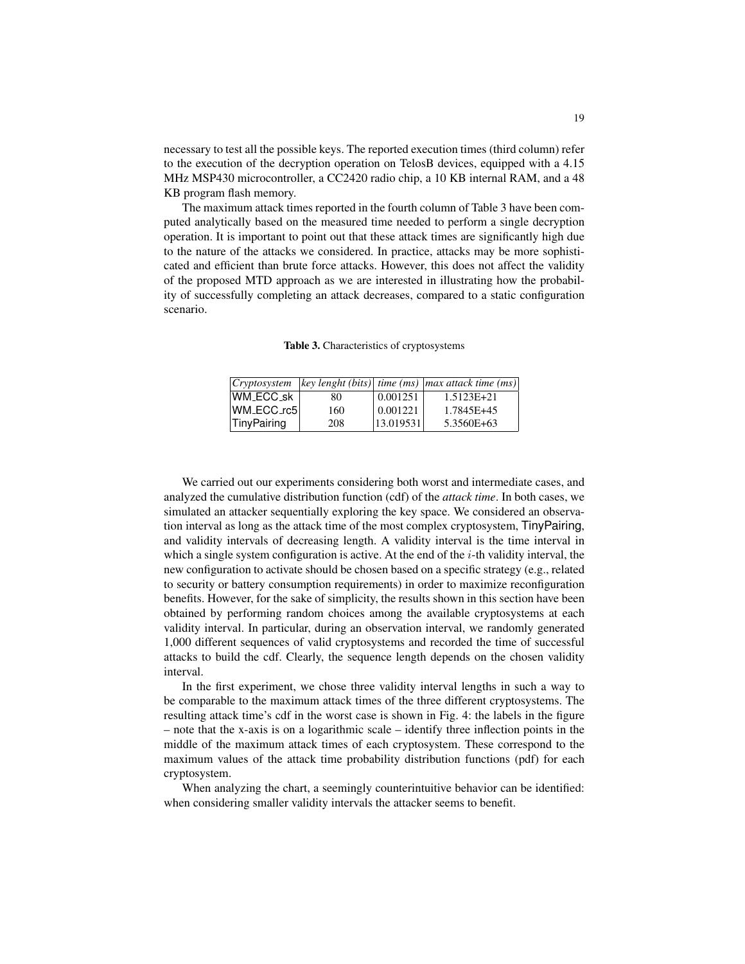necessary to test all the possible keys. The reported execution times (third column) refer to the execution of the decryption operation on TelosB devices, equipped with a 4.15 MHz MSP430 microcontroller, a CC2420 radio chip, a 10 KB internal RAM, and a 48 KB program flash memory.

The maximum attack times reported in the fourth column of Table 3 have been computed analytically based on the measured time needed to perform a single decryption operation. It is important to point out that these attack times are significantly high due to the nature of the attacks we considered. In practice, attacks may be more sophisticated and efficient than brute force attacks. However, this does not affect the validity of the proposed MTD approach as we are interested in illustrating how the probability of successfully completing an attack decreases, compared to a static configuration scenario.

Table 3. Characteristics of cryptosystems

|                        |     |                      | $ C$ ryptosystem   key lenght (bits)   time (ms)   max attack time (ms) |
|------------------------|-----|----------------------|-------------------------------------------------------------------------|
| WM_ECC_sk <sup>1</sup> | 80  | $\frac{1}{0.001251}$ | $1.5123E + 21$                                                          |
| WM_ECC_rc5             | 160 | 0.001221             | 1.7845E+45                                                              |
| TinyPairing            | 208 | 13.019531            | 5.3560E+63                                                              |

We carried out our experiments considering both worst and intermediate cases, and analyzed the cumulative distribution function (cdf) of the *attack time*. In both cases, we simulated an attacker sequentially exploring the key space. We considered an observation interval as long as the attack time of the most complex cryptosystem, TinyPairing, and validity intervals of decreasing length. A validity interval is the time interval in which a single system configuration is active. At the end of the  $i$ -th validity interval, the new configuration to activate should be chosen based on a specific strategy (e.g., related to security or battery consumption requirements) in order to maximize reconfiguration benefits. However, for the sake of simplicity, the results shown in this section have been obtained by performing random choices among the available cryptosystems at each validity interval. In particular, during an observation interval, we randomly generated 1,000 different sequences of valid cryptosystems and recorded the time of successful attacks to build the cdf. Clearly, the sequence length depends on the chosen validity interval.

In the first experiment, we chose three validity interval lengths in such a way to be comparable to the maximum attack times of the three different cryptosystems. The resulting attack time's cdf in the worst case is shown in Fig. 4: the labels in the figure – note that the x-axis is on a logarithmic scale – identify three inflection points in the middle of the maximum attack times of each cryptosystem. These correspond to the maximum values of the attack time probability distribution functions (pdf) for each cryptosystem.

When analyzing the chart, a seemingly counterintuitive behavior can be identified: when considering smaller validity intervals the attacker seems to benefit.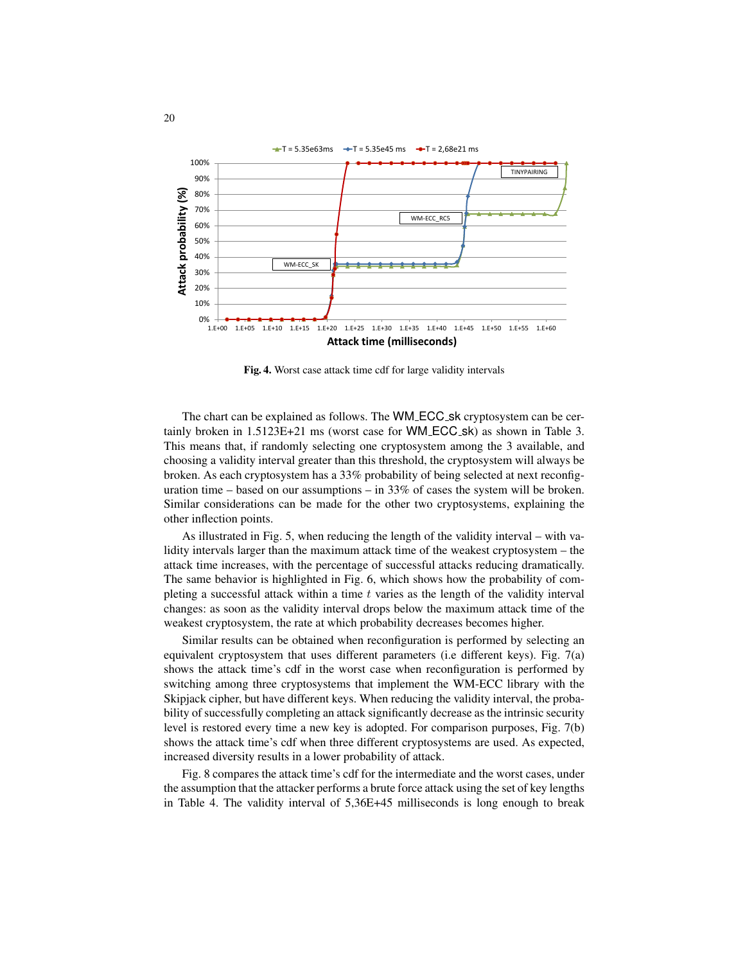

Fig. 4. Worst case attack time cdf for large validity intervals

The chart can be explained as follows. The WM ECC sk cryptosystem can be certainly broken in 1.5123E+21 ms (worst case for WM ECC sk) as shown in Table 3. This means that, if randomly selecting one cryptosystem among the 3 available, and choosing a validity interval greater than this threshold, the cryptosystem will always be broken. As each cryptosystem has a 33% probability of being selected at next reconfiguration time – based on our assumptions – in  $33\%$  of cases the system will be broken. Similar considerations can be made for the other two cryptosystems, explaining the other inflection points.

As illustrated in Fig. 5, when reducing the length of the validity interval – with validity intervals larger than the maximum attack time of the weakest cryptosystem – the attack time increases, with the percentage of successful attacks reducing dramatically. The same behavior is highlighted in Fig. 6, which shows how the probability of completing a successful attack within a time  $t$  varies as the length of the validity interval changes: as soon as the validity interval drops below the maximum attack time of the weakest cryptosystem, the rate at which probability decreases becomes higher.

Similar results can be obtained when reconfiguration is performed by selecting an equivalent cryptosystem that uses different parameters (i.e different keys). Fig. 7(a) shows the attack time's cdf in the worst case when reconfiguration is performed by switching among three cryptosystems that implement the WM-ECC library with the Skipjack cipher, but have different keys. When reducing the validity interval, the probability of successfully completing an attack significantly decrease as the intrinsic security level is restored every time a new key is adopted. For comparison purposes, Fig. 7(b) shows the attack time's cdf when three different cryptosystems are used. As expected, increased diversity results in a lower probability of attack.

Fig. 8 compares the attack time's cdf for the intermediate and the worst cases, under the assumption that the attacker performs a brute force attack using the set of key lengths in Table 4. The validity interval of 5,36E+45 milliseconds is long enough to break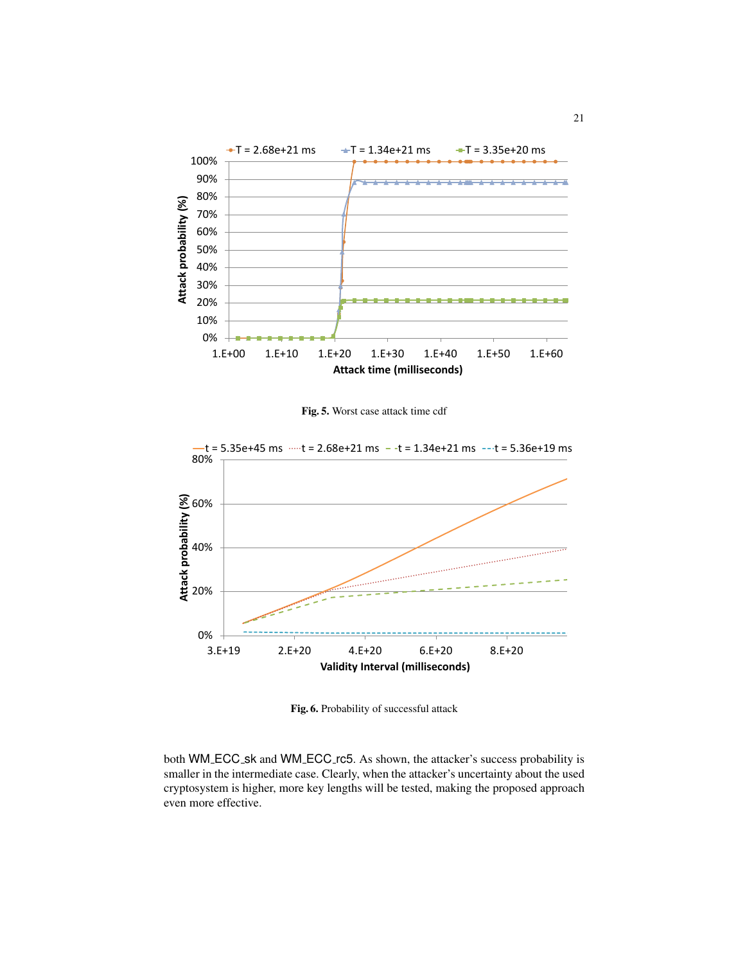

Fig. 5. Worst case attack time cdf



Fig. 6. Probability of successful attack

both WM ECC sk and WM ECC rc5. As shown, the attacker's success probability is smaller in the intermediate case. Clearly, when the attacker's uncertainty about the used cryptosystem is higher, more key lengths will be tested, making the proposed approach even more effective.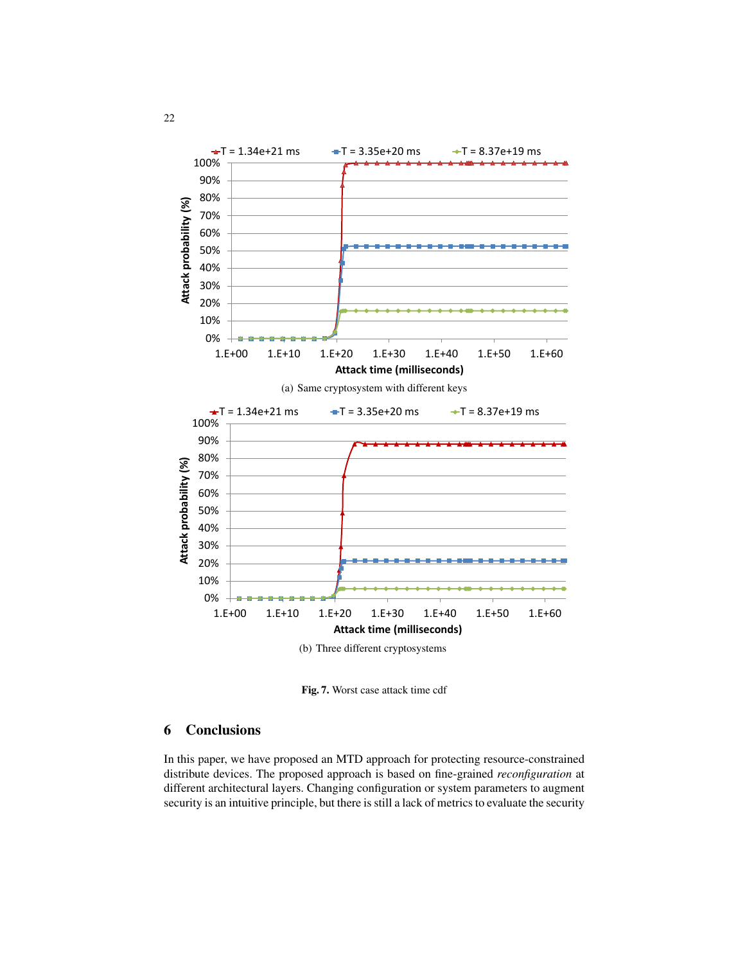

Fig. 7. Worst case attack time cdf

# 6 Conclusions

In this paper, we have proposed an MTD approach for protecting resource-constrained distribute devices. The proposed approach is based on fine-grained *reconfiguration* at different architectural layers. Changing configuration or system parameters to augment security is an intuitive principle, but there is still a lack of metrics to evaluate the security

22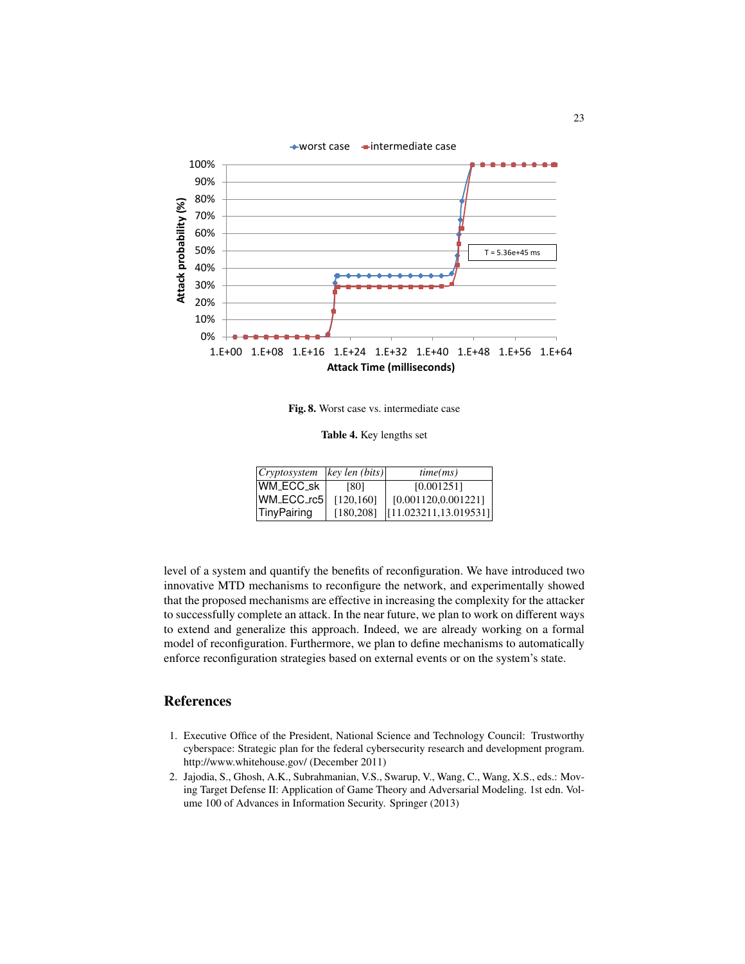

Fig. 8. Worst case vs. intermediate case

Table 4. Key lengths set

| $ Cryptosystem $ key len (bits) |            | time(ms)               |
|---------------------------------|------------|------------------------|
| WM_ECC_sk                       | [80]       | [0.001251]             |
| WM_ECC_rc51                     | [120,160]  | [0.001120, 0.001221]   |
| TinyPairing                     | [180, 208] | [11.023211, 13.019531] |

level of a system and quantify the benefits of reconfiguration. We have introduced two innovative MTD mechanisms to reconfigure the network, and experimentally showed that the proposed mechanisms are effective in increasing the complexity for the attacker to successfully complete an attack. In the near future, we plan to work on different ways to extend and generalize this approach. Indeed, we are already working on a formal model of reconfiguration. Furthermore, we plan to define mechanisms to automatically enforce reconfiguration strategies based on external events or on the system's state.

# References

- 1. Executive Office of the President, National Science and Technology Council: Trustworthy cyberspace: Strategic plan for the federal cybersecurity research and development program. http://www.whitehouse.gov/ (December 2011)
- 2. Jajodia, S., Ghosh, A.K., Subrahmanian, V.S., Swarup, V., Wang, C., Wang, X.S., eds.: Moving Target Defense II: Application of Game Theory and Adversarial Modeling. 1st edn. Volume 100 of Advances in Information Security. Springer (2013)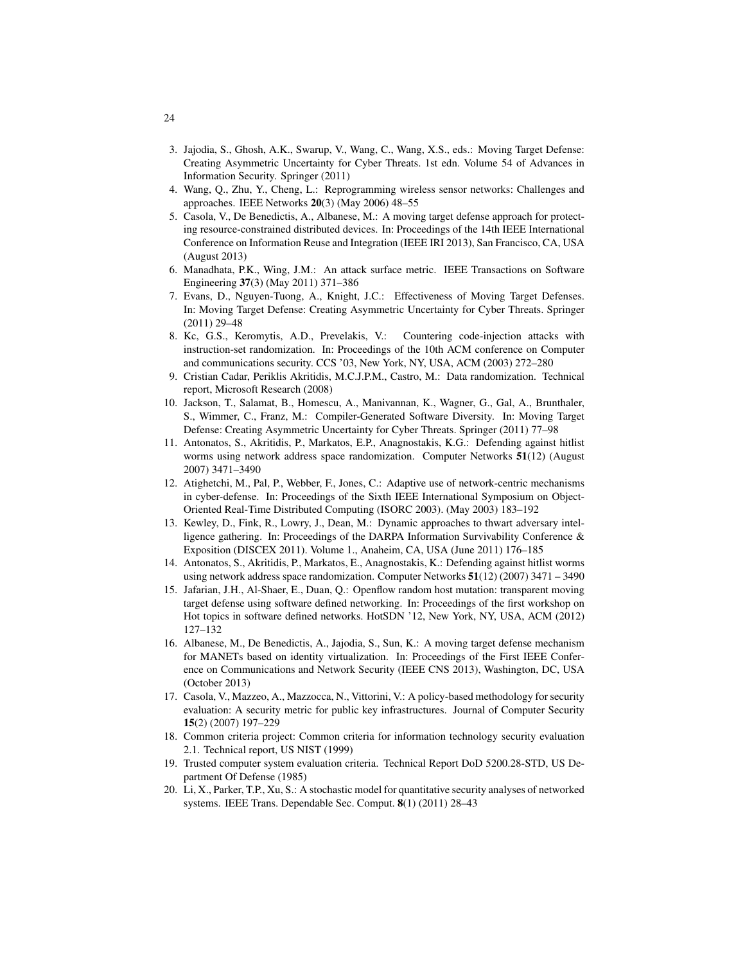- 3. Jajodia, S., Ghosh, A.K., Swarup, V., Wang, C., Wang, X.S., eds.: Moving Target Defense: Creating Asymmetric Uncertainty for Cyber Threats. 1st edn. Volume 54 of Advances in Information Security. Springer (2011)
- 4. Wang, Q., Zhu, Y., Cheng, L.: Reprogramming wireless sensor networks: Challenges and approaches. IEEE Networks 20(3) (May 2006) 48–55
- 5. Casola, V., De Benedictis, A., Albanese, M.: A moving target defense approach for protecting resource-constrained distributed devices. In: Proceedings of the 14th IEEE International Conference on Information Reuse and Integration (IEEE IRI 2013), San Francisco, CA, USA (August 2013)
- 6. Manadhata, P.K., Wing, J.M.: An attack surface metric. IEEE Transactions on Software Engineering 37(3) (May 2011) 371–386
- 7. Evans, D., Nguyen-Tuong, A., Knight, J.C.: Effectiveness of Moving Target Defenses. In: Moving Target Defense: Creating Asymmetric Uncertainty for Cyber Threats. Springer (2011) 29–48
- 8. Kc, G.S., Keromytis, A.D., Prevelakis, V.: Countering code-injection attacks with instruction-set randomization. In: Proceedings of the 10th ACM conference on Computer and communications security. CCS '03, New York, NY, USA, ACM (2003) 272–280
- 9. Cristian Cadar, Periklis Akritidis, M.C.J.P.M., Castro, M.: Data randomization. Technical report, Microsoft Research (2008)
- 10. Jackson, T., Salamat, B., Homescu, A., Manivannan, K., Wagner, G., Gal, A., Brunthaler, S., Wimmer, C., Franz, M.: Compiler-Generated Software Diversity. In: Moving Target Defense: Creating Asymmetric Uncertainty for Cyber Threats. Springer (2011) 77–98
- 11. Antonatos, S., Akritidis, P., Markatos, E.P., Anagnostakis, K.G.: Defending against hitlist worms using network address space randomization. Computer Networks 51(12) (August 2007) 3471–3490
- 12. Atighetchi, M., Pal, P., Webber, F., Jones, C.: Adaptive use of network-centric mechanisms in cyber-defense. In: Proceedings of the Sixth IEEE International Symposium on Object-Oriented Real-Time Distributed Computing (ISORC 2003). (May 2003) 183–192
- 13. Kewley, D., Fink, R., Lowry, J., Dean, M.: Dynamic approaches to thwart adversary intelligence gathering. In: Proceedings of the DARPA Information Survivability Conference & Exposition (DISCEX 2011). Volume 1., Anaheim, CA, USA (June 2011) 176–185
- 14. Antonatos, S., Akritidis, P., Markatos, E., Anagnostakis, K.: Defending against hitlist worms using network address space randomization. Computer Networks 51(12) (2007) 3471 – 3490
- 15. Jafarian, J.H., Al-Shaer, E., Duan, Q.: Openflow random host mutation: transparent moving target defense using software defined networking. In: Proceedings of the first workshop on Hot topics in software defined networks. HotSDN '12, New York, NY, USA, ACM (2012) 127–132
- 16. Albanese, M., De Benedictis, A., Jajodia, S., Sun, K.: A moving target defense mechanism for MANETs based on identity virtualization. In: Proceedings of the First IEEE Conference on Communications and Network Security (IEEE CNS 2013), Washington, DC, USA (October 2013)
- 17. Casola, V., Mazzeo, A., Mazzocca, N., Vittorini, V.: A policy-based methodology for security evaluation: A security metric for public key infrastructures. Journal of Computer Security 15(2) (2007) 197–229
- 18. Common criteria project: Common criteria for information technology security evaluation 2.1. Technical report, US NIST (1999)
- 19. Trusted computer system evaluation criteria. Technical Report DoD 5200.28-STD, US Department Of Defense (1985)
- 20. Li, X., Parker, T.P., Xu, S.: A stochastic model for quantitative security analyses of networked systems. IEEE Trans. Dependable Sec. Comput. 8(1) (2011) 28–43

24